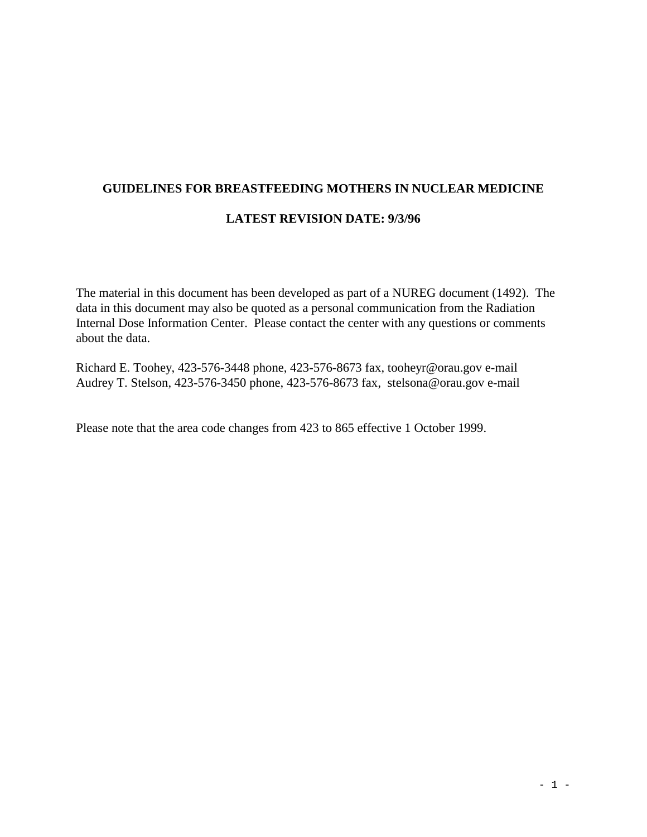# **GUIDELINES FOR BREASTFEEDING MOTHERS IN NUCLEAR MEDICINE**

## **LATEST REVISION DATE: 9/3/96**

The material in this document has been developed as part of a NUREG document (1492). The data in this document may also be quoted as a personal communication from the Radiation Internal Dose Information Center. Please contact the center with any questions or comments about the data.

Richard E. Toohey, 423-576-3448 phone, 423-576-8673 fax, tooheyr@orau.gov e-mail Audrey T. Stelson, 423-576-3450 phone, 423-576-8673 fax, stelsona@orau.gov e-mail

Please note that the area code changes from 423 to 865 effective 1 October 1999.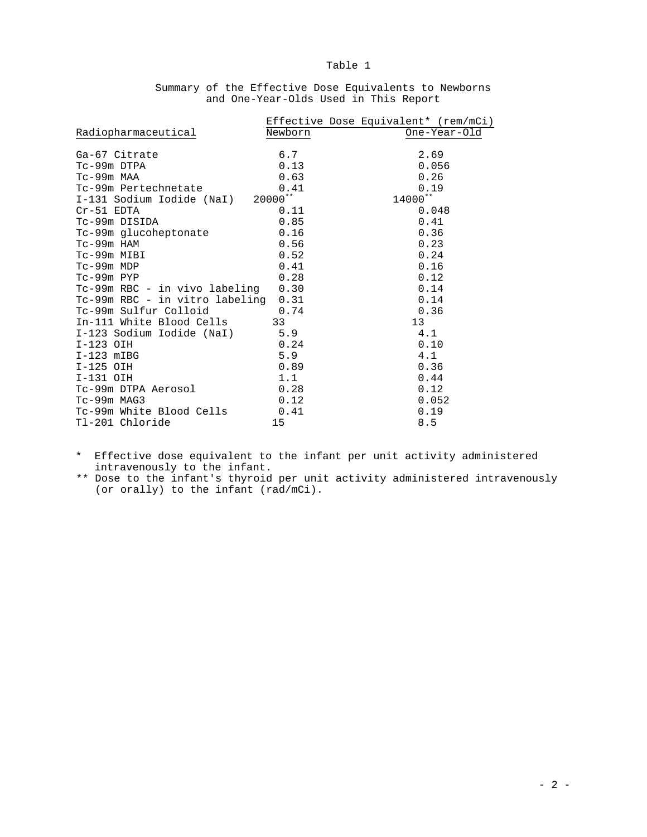|                                     |         | Effective Dose Equivalent* (rem/mCi) |
|-------------------------------------|---------|--------------------------------------|
| Radiopharmaceutical                 | Newborn | One-Year-Old                         |
| Ga-67 Citrate                       | 6.7     | 2.69                                 |
| Tc-99m DTPA                         | 0.13    | 0.056                                |
| Tc-99m MAA                          | 0.63    | 0.26                                 |
| Tc-99m Pertechnetate                | 0.41    | 0.19                                 |
| I-131 Sodium Iodide (NaI) 20000**   |         | 14000**                              |
| $Cr-51$ EDTA                        | 0.11    | 0.048                                |
| Tc-99m DISIDA                       | 0.85    | 0.41                                 |
| Tc-99m glucoheptonate               | 0.16    | 0.36                                 |
| Tc-99m HAM                          | 0.56    | 0.23                                 |
| Tc-99m MIBI                         | 0.52    | 0.24                                 |
| Tc-99m MDP                          | 0.41    | 0.16                                 |
| Tc-99m PYP                          | 0.28    | 0.12                                 |
| Tc-99m RBC - in vivo labeling 0.30  |         | 0.14                                 |
| Tc-99m RBC - in vitro labeling 0.31 |         | 0.14                                 |
| Tc-99m Sulfur Colloid<br>0.74       |         | 0.36                                 |
| In-111 White Blood Cells 33         |         | 13                                   |
| I-123 Sodium Iodide (NaI) 5.9       |         | 4.1                                  |
| $I-123$ OIH                         | 0.24    | 0.10                                 |
| $I-123$ mIBG                        | 5.9     | 4.1                                  |
| I-125 OIH                           | 0.89    | 0.36                                 |
| I-131 OIH                           | 1.1     | 0.44                                 |
| $Tc-99m$ DTPA Aerosol $0.28$        |         | 0.12                                 |
| $Tc-99m$ MAG3                       | 0.12    | 0.052                                |
| Tc-99m White Blood Cells 0.41       |         | 0.19                                 |
| Tl-201 Chloride                     | 15      | 8.5                                  |

Summary of the Effective Dose Equivalents to Newborns and One-Year-Olds Used in This Report

\* Effective dose equivalent to the infant per unit activity administered intravenously to the infant.

\*\* Dose to the infant's thyroid per unit activity administered intravenously (or orally) to the infant (rad/mCi).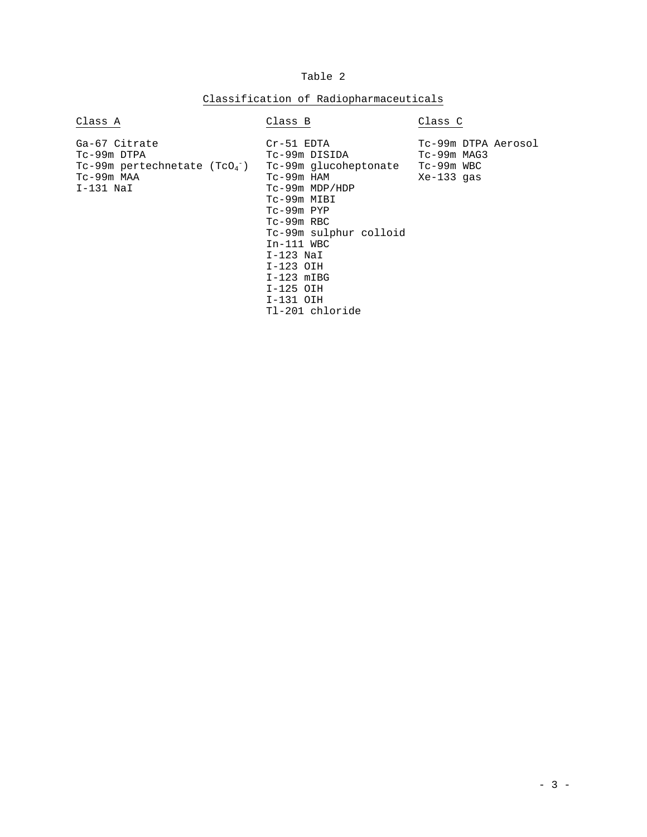## Classification of Radiopharmaceuticals

| Class A                                                                                           | Class B                                                                                                                                                                                                                                                                           | Class C                                          |
|---------------------------------------------------------------------------------------------------|-----------------------------------------------------------------------------------------------------------------------------------------------------------------------------------------------------------------------------------------------------------------------------------|--------------------------------------------------|
| Ga-67 Citrate<br>Tc-99m DTPA<br>$Tc-99m$ pertechnetate ( $TcO_4^-$ )<br>Tc-99m MAA<br>$I-131$ NaI | Cr-51 EDTA<br>Tc-99m DISIDA<br>Tc-99m glucoheptonate Tc-99m WBC<br>Tc-99m HAM<br>Tc-99m MDP/HDP<br>Tc-99m MIBI<br>Tc-99m PYP<br>$Tc-99m$ RBC<br>Tc-99m sulphur colloid<br>$In-111$ WBC<br>$I-123$ NaI<br>I-123 OIH<br>$I-123$ mIBG<br>$I-125$ OIH<br>I-131 OIH<br>Tl-201 chloride | Tc-99m DTPA Aerosol<br>Tc-99m MAG3<br>Xe-133 gas |
|                                                                                                   |                                                                                                                                                                                                                                                                                   |                                                  |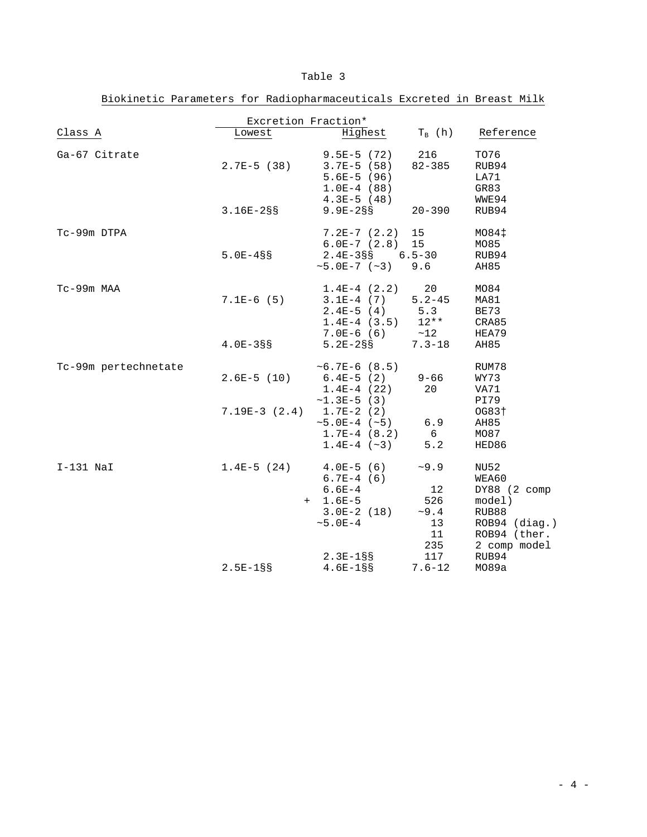| Excretion Fraction*  |                                |                                                                                    |                                                |                                                                                                            |  |  |  |
|----------------------|--------------------------------|------------------------------------------------------------------------------------|------------------------------------------------|------------------------------------------------------------------------------------------------------------|--|--|--|
| Class A              | Lowest                         | Highest                                                                            | $T_R(h)$                                       | Reference                                                                                                  |  |  |  |
| Ga-67 Citrate        | $2.7E-5$ (38)                  | $9.5E-5$ (72)<br>$3.7E-5$ (58)<br>$5.6E-5$ (96)<br>$1.0E-4(88)$                    | 216<br>$82 - 385$                              | TO76<br>RUB94<br>LA71<br>GR83                                                                              |  |  |  |
|                      | $3.16E - 28S$                  | $4.3E-5$ (48)<br>$9.9E - 2SS$                                                      | $20 - 390$                                     | WWE94<br>RUB94                                                                                             |  |  |  |
| Tc-99m DTPA          | $5.0E - 4SS$                   | $7.2E-7(2.2)$<br>$6.0E-7(2.8)$<br>$2.4E-3S$ S 6.5-30<br>$~5.0E-7~(~5)$             | 15<br>15<br>9.6                                | MO84‡<br>MO85<br>RUB94<br>AH85                                                                             |  |  |  |
| Tc-99m MAA           | $7.1E-6(5)$                    | $1.4E-4$ $(2.2)$<br>$3.1E-4$ (7)<br>$2.4E-5(4)$<br>$1.4E-4$ (3.5)                  | 20<br>$5.2 - 45$<br>5.3<br>$12**$              | MO <sub>84</sub><br>MA81<br>BE73<br>CRA85                                                                  |  |  |  |
|                      | $4.0E - 3S$                    | $7.0E-6(6)$<br>$5.2E - 2S$                                                         | ~12<br>$7.3 - 18$                              | HEA79<br>AH85                                                                                              |  |  |  |
| Tc-99m pertechnetate | $2.6E-5$ (10)                  | $~5.7E-6~(8.5)$<br>$6.4E-5$ (2)<br>$1.4E-4(22)$<br>$~1.3E-5$ (3)                   | $9 - 66$<br>20                                 | RUM78<br>WY73<br>VA71<br>PI79                                                                              |  |  |  |
|                      | $7.19E-3$ $(2.4)$ 1.7E-2 $(2)$ | $~5.0E-4~(~5)$<br>$1.7E-4$ (8.2)<br>$1.4E-4$ (~3)                                  | 6.9<br>6<br>5.2                                | OG83+<br>AH85<br>MO87<br>HED86                                                                             |  |  |  |
| $I-131$ NaI          | $1.4E-5(24)$                   | $4.0E-5(6)$<br>$6.7E-4$ (6)<br>$6.6E-4$<br>$+ 1.6E-5$<br>$3.0E-2(18)$<br>$~5.0E-4$ | ~10.9<br>12<br>526<br>~10.4<br>13<br>11<br>235 | <b>NU52</b><br>WEA60<br>$DY88$ (2 comp<br>model)<br>RUB88<br>ROB94 (diag.)<br>ROB94 (ther.<br>2 comp model |  |  |  |
|                      | $2.5E-188$                     | $2.3E-18S$<br>$4.6E-18S$                                                           | 117<br>$7.6 - 12$                              | RUB94<br>MO89a                                                                                             |  |  |  |

Biokinetic Parameters for Radiopharmaceuticals Excreted in Breast Milk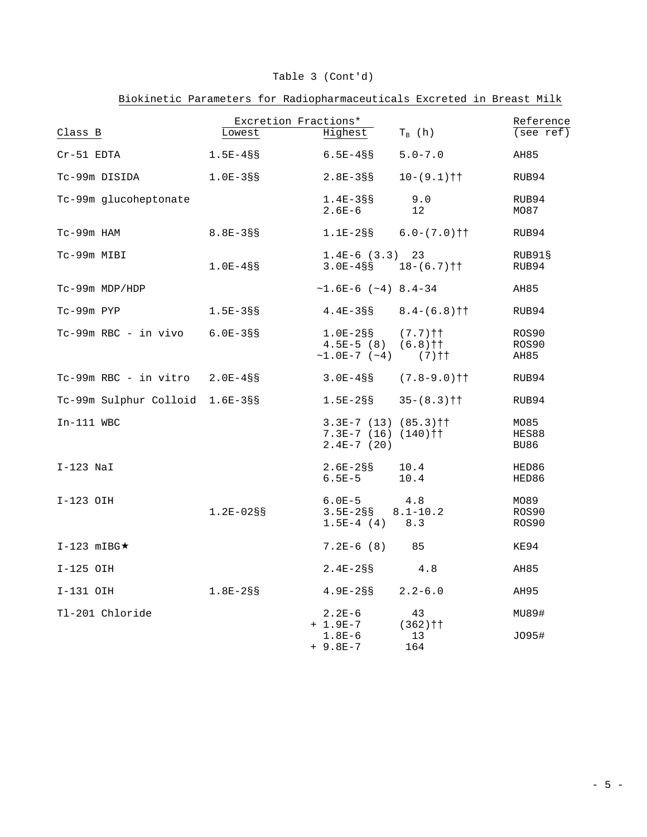|                                     | Excretion Fractions* |                                                                     |                                | Reference              |
|-------------------------------------|----------------------|---------------------------------------------------------------------|--------------------------------|------------------------|
| Class B                             | Lowest               | Highest                                                             | $T_B$ (h)                      | (see ref)              |
| Cr-51 EDTA                          | $1.5E-4SS$           | $6.5E-4S$                                                           | $5.0 - 7.0$                    | AH85                   |
| Tc-99m DISIDA                       | $1.0E-3S$            | $2.8E - 3SS$                                                        | $10-(9.1)$ † †                 | RUB94                  |
| Tc-99m glucoheptonate               |                      | $1.4E - 388$<br>$2.6E-6$                                            | 9.0<br>12                      | RUB94<br>MO87          |
| Tc-99m HAM                          | $8.8E - 3S$          | $1.1E-2SS$                                                          | $6.0-(7.0)$ † †                | RUB94                  |
| Tc-99m MIBI                         | $1.0E-4SS$           | $1.4E-6(3.3)$ 23<br>$3.0E-4S\$ $18-(6.7)$ † †                       |                                | RUB91§<br>RUB94        |
| Tc-99m MDP/HDP                      |                      | $\sim$ 1.6E-6 ( $\sim$ 4) 8.4-34                                    |                                | AH85                   |
| Tc-99m PYP                          | $1.5E - 388$         | $4.4E-3S$ S                                                         | $8.4-(6.8)$ † †                | RUB94                  |
| $Tc-99m$ RBC - in vivo $6.0E-38S$   |                      | $1.0E-2S$ S<br>$4.5E-5(8)$<br>$\sim$ 1.0E-7 ( $\sim$ 4) (7) † †     | $(7.7)$ † †<br>$(6.8)$ † †     | ROS90<br>ROS90<br>AH85 |
| $Tc-99m$ RBC - in vitro $2.0E-4$ §§ |                      | $3.0E-4S$ s                                                         | $(7.8 - 9.0)$ † †              | RUB94                  |
| Tc-99m Sulphur Colloid 1.6E-3§§     |                      | $1.5E-2SS$                                                          | $35 - (8.3) \uparrow \uparrow$ | RUB94                  |
| $In-111$ WBC                        |                      | $3.3E-7$ (13) (85.3) † †<br>$7.3E-7$ (16) (140) † †<br>$2.4E-7(20)$ |                                | MO85<br>HES88<br>BU86  |
| $I-123$ NaI                         |                      | $2.6E - 2SS$<br>$6.5E-5$                                            | 10.4<br>10.4                   | HED86<br>HED86         |
| I-123 OIH                           | $1.2E - 02S$         | $6.0E-5$<br>$3.5E-2SS$<br>$1.5E-4(4)$                               | 4.8<br>$8.1 - 10.2$<br>8.3     | MO89<br>ROS90<br>ROS90 |
| $I-123$ mIBG $\star$                |                      | $7.2E-6(8)$ 85                                                      |                                | KE94                   |
| I-125 OIH                           |                      | $2.4E - 2SS$                                                        | 4.8                            | AH85                   |
| I-131 OIH                           | $1.8E - 2SS$         | 4.9E-2§§                                                            | $2.2 - 6.0$                    | AH95                   |
| Tl-201 Chloride                     |                      | $2.2E-6$<br>$+ 1.9E - 7$<br>$1.8E-6$                                | 43<br>$(362)$ † †<br>13        | MU89#<br>J095#         |
|                                     |                      |                                                                     |                                |                        |

+ 9.8E-7 164

## Table 3 (Cont'd)

Biokinetic Parameters for Radiopharmaceuticals Excreted in Breast Milk

 $-5 -$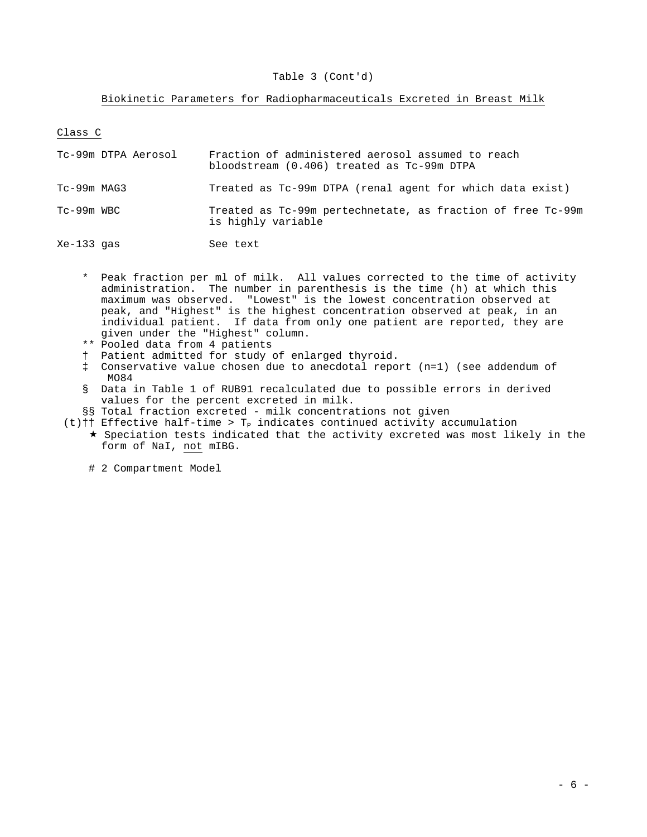### Table 3 (Cont'd)

### Biokinetic Parameters for Radiopharmaceuticals Excreted in Breast Milk

Class C

| Tc-99m DTPA Aerosol | Fraction of administered aerosol assumed to reach<br>bloodstream (0.406) treated as Tc-99m DTPA |
|---------------------|-------------------------------------------------------------------------------------------------|
| $Tc-99m$ MAG3       | Treated as Tc-99m DTPA (renal agent for which data exist)                                       |
| $Tc-99m$ WBC        | Treated as Tc-99m pertechnetate, as fraction of free Tc-99m<br>is highly variable               |
| $Xe-133$ gas        | See text                                                                                        |

- \* Peak fraction per ml of milk. All values corrected to the time of activity administration. The number in parenthesis is the time (h) at which this maximum was observed. "Lowest" is the lowest concentration observed at peak, and "Highest" is the highest concentration observed at peak, in an individual patient. If data from only one patient are reported, they are given under the "Highest" column.
	- \*\* Pooled data from 4 patients
	- † Patient admitted for study of enlarged thyroid.
	- ‡ Conservative value chosen due to anecdotal report (n=1) (see addendum of MO84
	- § Data in Table 1 of RUB91 recalculated due to possible errors in derived values for the percent excreted in milk.
	- §§ Total fraction excreted milk concentrations not given
	- (t)†† Effective half-time >  $T_p$  indicates continued activity accumulation
		- $\star$  Speciation tests indicated that the activity excreted was most likely in the form of NaI, not mIBG.

# 2 Compartment Model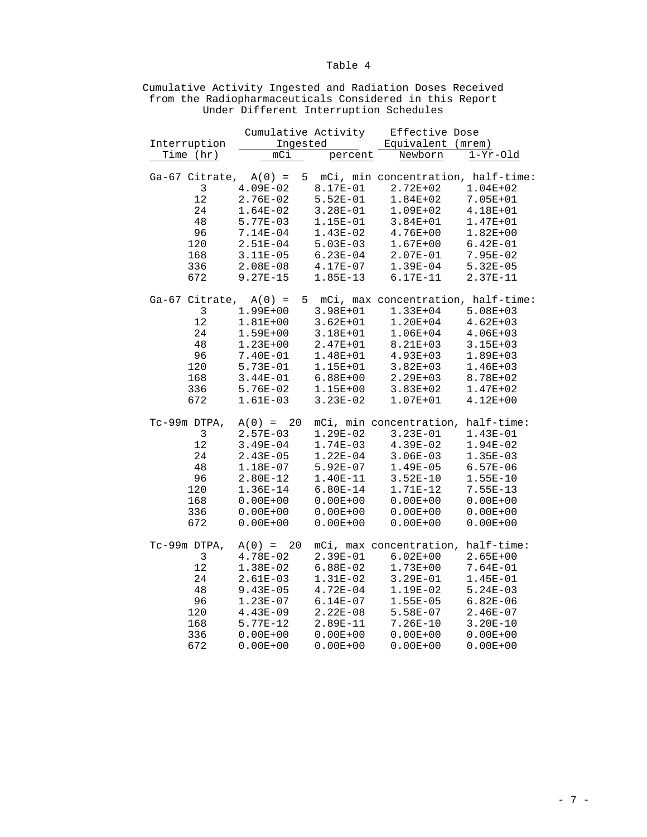|                           | Cumulative Activity |              | Effective Dose                       |              |
|---------------------------|---------------------|--------------|--------------------------------------|--------------|
| Interruption              | Ingested            |              | Equivalent (mrem)                    |              |
| Time (hr)                 | mC1                 | percent      | Newborn                              | $1-Yr-01d$   |
|                           |                     |              |                                      |              |
| $Ga-67$ Citrate, $A(0) =$ |                     |              | 5 mCi, min concentration, half-time: |              |
| 3                         | $4.09E-02$          | 8.17E-01     | $2.72E + 02$                         | $1.04E + 02$ |
| $1\,2$                    | 2.76E-02            | $5.52E-01$   | $1.84E + 02$                         | 7.05E+01     |
|                           |                     |              |                                      |              |
| 24                        | $1.64E-02$          | $3.28E-01$   | $1.09E + 02$                         | 4.18E+01     |
| 48                        | $5.77E-03$          | 1.15E-01     | $3.84E + 01$                         | $1.47E + 01$ |
| 96                        | $7.14E-04$          | $1.43E-02$   | $4.76E + 00$                         | $1.82E + 00$ |
| 120                       | $2.51E-04$          | $5.03E-03$   | $1.67E + 00$                         | $6.42E-01$   |
| 168                       | $3.11E-05$          | $6.23E-04$   | $2.07E-01$                           | $7.95E-02$   |
| 336                       | $2.08E - 08$        | 4.17E-07     | $1.39E-04$                           | $5.32E - 05$ |
| 672                       | $9.27E-15$          | $1.85E-13$   | $6.17E-11$                           | 2.37E-11     |
|                           |                     |              |                                      |              |
| Ga-67 Citrate, $A(0) =$   |                     |              | 5 mCi, max concentration, half-time: |              |
| 3                         | $1.99E + 00$        | 3.98E+01     | 1.33E+04                             | $5.08E + 03$ |
| 12                        |                     |              |                                      |              |
|                           | $1.81E + 00$        | $3.62E + 01$ | $1.20E + 04$                         | $4.62E + 03$ |
| 24                        | $1.59E + 00$        | $3.18E + 01$ | $1.06E + 04$                         | $4.06E + 03$ |
| 48                        | $1.23E + 00$        | $2.47E + 01$ | 8.21E+03                             | $3.15E + 03$ |
| 96                        | 7.40E-01            | 1.48E+01     | $4.93E + 03$                         | $1.89E + 03$ |
| 120                       | $5.73E-01$          | 1.15E+01     | $3.82E + 03$                         | $1.46E + 03$ |
| 168                       | $3.44E-01$          | $6.88E + 00$ | 2.29E+03                             | 8.78E+02     |
| 336                       | $5.76E-02$          | 1.15E+00     | $3.83E + 02$                         | $1.47E + 02$ |
| 672                       | $1.61E-03$          | $3.23E-02$   | $1.07E + 01$                         | $4.12E + 00$ |
|                           |                     |              |                                      |              |
| Tc-99m DTPA,              | $A(0) = 20$         |              | mCi, min concentration, half-time:   |              |
| $\mathbf{3}$              | $2.57E-03$          | $1.29E-02$   | $3.23E-01$                           | $1.43E-01$   |
| 12                        | $3.49E - 04$        | $1.74E-03$   | $4.39E-02$                           | $1.94E-02$   |
| 24                        | $2.43E-05$          |              |                                      |              |
|                           |                     | $1.22E-04$   | $3.06E-03$                           | $1.35E-03$   |
| 48                        | 1.18E-07            | $5.92E-07$   | $1.49E-05$                           | $6.57E-06$   |
| 96                        | $2.80E-12$          | 1.40E-11     | $3.52E-10$                           | $1.55E-10$   |
| 120                       | $1.36E - 14$        | $6.80E-14$   | 1.71E-12                             | $7.55E-13$   |
| 168                       | $0.00E + 00$        | $0.00E + 00$ | $0.00E + 00$                         | $0.00E + 00$ |
| 336                       | $0.00E + 00$        | $0.00E + 00$ | $0.00E + 00$                         | $0.00E + 00$ |
| 672                       | $0.00E + 00$        | $0.00E + 00$ | $0.00E + 00$                         | $0.00E + 00$ |
|                           |                     |              |                                      |              |
| Tc-99m DTPA,              | $A(0) = 20$         |              | mCi, max concentration, half-time:   |              |
| 3                         | $4.78E - 02$        | 2.39E-01     | $6.02E + 00$                         | $2.65E + 00$ |
| 12                        | $1.38E-02$          | $6.88E-02$   | $1.73E + 00$                         | 7.64E-01     |
| 24                        | $2.61E-03$          | $1.31E-02$   | $3.29E-01$                           | $1.45E-01$   |
|                           |                     |              |                                      |              |
| 48                        | $9.43E - 05$        | $4.72E-04$   | $1.19E-02$                           | $5.24E-03$   |
| 96                        | $1.23E-07$          | $6.14E-07$   | $1.55E-05$                           | $6.82E - 06$ |
| 120                       | $4.43E-09$          | $2.22E-08$   | 5.58E-07                             | $2.46E-07$   |
| 168                       | $5.77E-12$          | $2.89E-11$   | $7.26E-10$                           | $3.20E-10$   |
| 336                       | $0.00E + 00$        | $0.00E + 00$ | $0.00E + 00$                         | $0.00E + 00$ |

672 0.00E+00 0.00E+00 0.00E+00 0.00E+00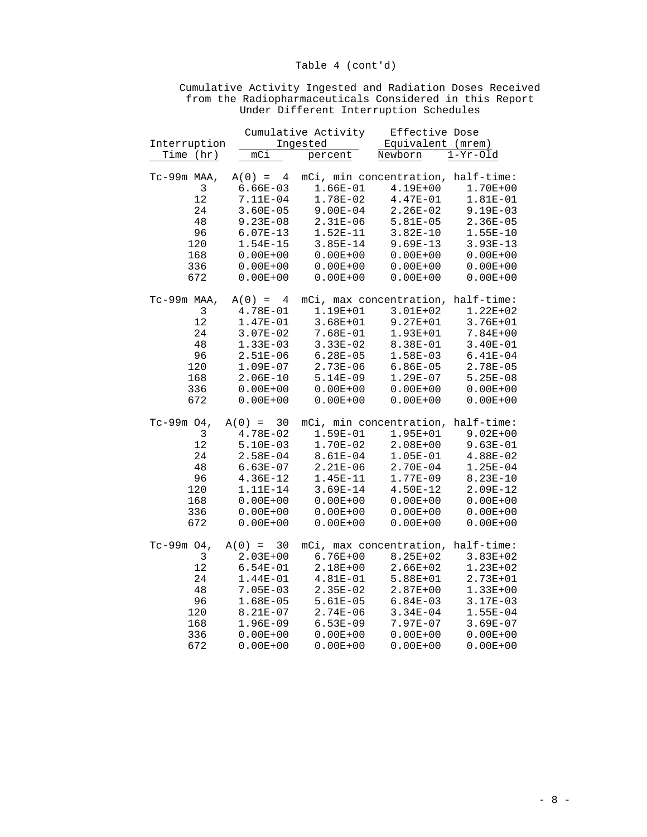|               |                          | Cumulative Activity    | Effective Dose                     |                          |
|---------------|--------------------------|------------------------|------------------------------------|--------------------------|
| Interruption  |                          | Ingested               | Equivalent (mrem)                  |                          |
| Time (hr)     | mCi                      | percent                | Newborn                            | $\overline{1}$ -Yr-Old   |
|               |                          |                        |                                    |                          |
| Tc-99m MAA,   | $A(0) = 4$               |                        | mCi, min concentration, half-time: |                          |
| 3             | $6.66E-03$               | 1.66E-01               | $4.19E + 00$                       | $1.70E + 00$             |
| 12            | 7.11E-04                 | 1.78E-02               | $4.47E-01$                         | 1.81E-01                 |
| 24            | $3.60E - 05$             | $9.00E-04$             | $2.26E-02$                         | $9.19E-03$               |
| 48            | $9.23E - 08$             | $2.31E-06$             | $5.81E-05$                         | $2.36E - 05$             |
| 96            | $6.07E-13$               | $1.52E-11$             | $3.82E-10$                         | $1.55E - 10$             |
| 120           | $1.54E - 15$             | $3.85E - 14$           | $9.69E-13$                         | $3.93E-13$               |
| 168           | $0.00E + 00$             | $0.00E + 00$           | $0.00E + 00$                       | $0.00E + 00$             |
| 336           | $0.00E + 00$             | $0.00E + 00$           | $0.00E + 00$                       | $0.00E + 00$             |
| 672           | $0.00E + 00$             | $0.00E + 00$           | $0.00E + 00$                       | $0.00E + 00$             |
|               |                          |                        |                                    |                          |
| Tc-99m MAA,   | $A(0) = 4$               |                        | mCi, max concentration,            | half-time:               |
| $\mathsf 3$   | $4.78E-01$               | 1.19E+01               | $3.01E + 02$                       | $1.22E + 02$             |
| $12$          | $1.47E-01$               | $3.68E + 01$           | $9.27E + 01$                       | $3.76E + 01$             |
| $2\sqrt{4}$   | $3.07E-02$               | 7.68E-01               | 1.93E+01                           | $7.84E + 00$             |
| 48            | $1.33E-03$               | $3.33E-02$             | 8.38E-01                           | $3.40E - 01$             |
| 96            | $2.51E-06$               | $6.28E - 05$           | $1.58E-03$                         | $6.41E-04$               |
| 120           | $1.09E-07$               | $2.73E-06$             | $6.86E - 05$                       | $2.78E - 05$             |
| 168           | $2.06E-10$               | $5.14E-09$             | $1.29E-07$                         | $5.25E - 08$             |
| 336           | $0.00E + 00$             | $0.00E + 00$           | $0.00E + 00$                       | $0.00E + 00$             |
| 672           | $0.00E + 00$             | $0.00E + 00$           | $0.00E + 00$                       | $0.00E + 00$             |
|               |                          |                        |                                    |                          |
| Tc-99m $04$ , | $A(0) =$<br>30           |                        | mCi, min concentration, half-time: |                          |
| 3             | 4.78E-02                 | 1.59E-01               | $1.95E + 01$                       | $9.02E + 00$             |
| 12            | $5.10E-03$               | 1.70E-02               | $2.08E + 00$                       | $9.63E-01$               |
| 24            | $2.58E-04$               | 8.61E-04               | $1.05E-01$                         | $4.88E-02$               |
| 48            | $6.63E-07$               | $2.21E-06$             | $2.70E-04$                         | $1.25E-04$               |
| 96            | $4.36E-12$               | $1.45E-11$             | $1.77E-09$                         | $8.23E-10$               |
| 120           | 1.11E-14                 | $3.69E-14$             | $4.50E-12$                         | $2.09E-12$               |
| 168           | $0.00E + 00$             | $0.00E + 00$           | $0.00E + 00$                       | $0.00E + 00$             |
| 336           | $0.00E + 00$             | $0.00E + 00$           | $0.00E + 00$                       | $0.00E + 00$             |
| 672           | $0.00E + 00$             | $0.00E + 00$           | $0.00E + 00$                       | $0.00E + 00$             |
| $Tc-99m$ 04,  | $A(0) =$<br>30           |                        | mCi, max concentration,            | half-time:               |
| 3             | $2.03E + 00$             | $6.76E + 00$           | $8.25E + 02$                       | $3.83E + 02$             |
| 12            |                          |                        |                                    |                          |
| 24            | $6.54E-01$               | 2.18E+00               | $2.66E + 02$                       | $1.23E + 02$             |
| 48            | $1.44E-01$               | 4.81E-01<br>$2.35E-02$ | $5.88E + 01$<br>$2.87E + 00$       | 2.73E+01<br>$1.33E + 00$ |
|               | $7.05E-03$<br>$1.68E-05$ | $5.61E-05$             | $6.84E-03$                         | $3.17E-03$               |
| 96            |                          |                        |                                    |                          |
| 120           | 8.21E-07                 | $2.74E-06$             | $3.34E - 04$                       | $1.55E-04$               |
| 168           | $1.96E-09$               | $6.53E-09$             | 7.97E-07                           | $3.69E-07$               |
| 336           | $0.00E + 00$             | $0.00E + 00$           | $0.00E + 00$                       | $0.00E + 00$             |

672 0.00E+00 0.00E+00 0.00E+00 0.00E+00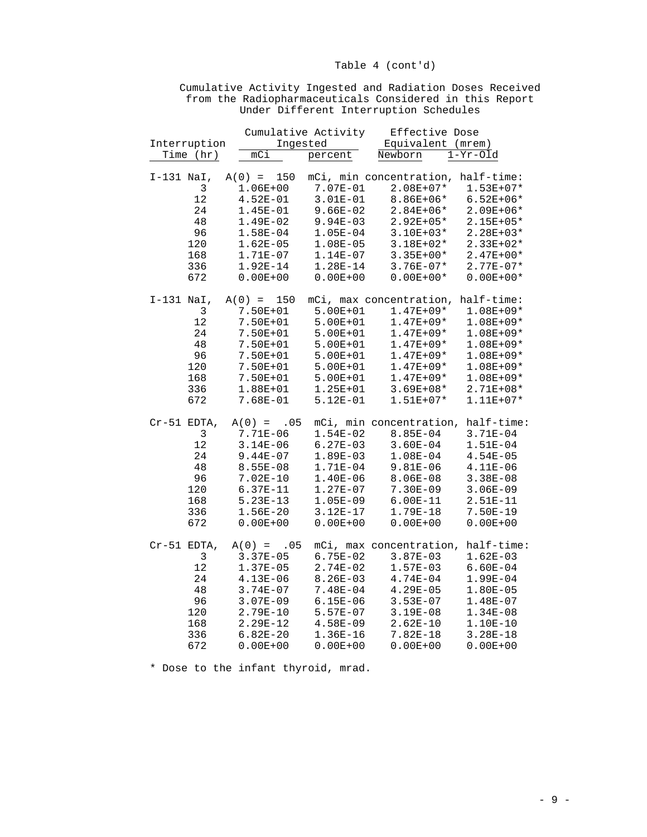|              |              |                 |              | Cumulative Activity     |         | Effective Dose |                                    |  |
|--------------|--------------|-----------------|--------------|-------------------------|---------|----------------|------------------------------------|--|
|              | Interruption |                 | Ingested     |                         |         |                | Equivalent (mrem)                  |  |
|              | Time (hr)    | mC <sub>i</sub> |              | percent                 | Newborn |                | $1-Yr-01d$                         |  |
|              |              |                 |              |                         |         |                |                                    |  |
| $I-131$ NaI, |              | $A(0) = 150$    |              |                         |         |                | mCi, min concentration, half-time: |  |
|              | 3            | $1.06E + 00$    |              | 7.07E-01                |         | $2.08E + 07*$  | $1.53E + 07*$                      |  |
|              | 12           | $4.52E-01$      |              | $3.01E-01$              |         | $8.86E + 06*$  | $6.52E + 06*$                      |  |
|              | 24           | $1.45E-01$      |              | $9.66E-02$              |         | $2.84E + 06*$  | $2.09E + 06*$                      |  |
|              | 48           | $1.49E-02$      |              | $9.94E - 03$            |         | $2.92E + 05*$  | 2.15E+05*                          |  |
|              | 96           | $1.58E-04$      |              | $1.05E-04$              |         | $3.10E + 03*$  | $2.28E + 03*$                      |  |
|              | 120          | $1.62E - 05$    |              | $1.08E-05$              |         | $3.18E + 02*$  | $2.33E+02*$                        |  |
|              | 168          | 1.71E-07        |              | $1.14E-07$              |         | $3.35E + 00*$  | $2.47E + 00*$                      |  |
|              | 336          | $1.92E-14$      |              | $1.28E-14$              |         | $3.76E - 07*$  | $2.77E-07*$                        |  |
|              | 672          | $0.00E + 00$    |              | $0.00E + 00$            |         | $0.00E + 00*$  | $0.00E + 00*$                      |  |
| $I-131$ NaI, |              | $A(0) =$        | 150          | mCi, max concentration, |         |                | half-time:                         |  |
|              | 3            | 7.50E+01        |              | $5.00E + 01$            |         | $1.47E + 09*$  | $1.08E + 09*$                      |  |
|              | $12\,$       | 7.50E+01        |              | $5.00E + 01$            |         | $1.47E + 09*$  | $1.08E + 09*$                      |  |
|              | 24           | 7.50E+01        |              | $5.00E + 01$            |         | $1.47E + 09*$  | $1.08E + 09*$                      |  |
|              | 48           | 7.50E+01        |              | $5.00E + 01$            |         | $1.47E + 09*$  | $1.08E + 09*$                      |  |
|              | 96           | 7.50E+01        |              | $5.00E + 01$            |         | $1.47E + 09*$  | $1.08E + 09*$                      |  |
|              | 120          | 7.50E+01        |              | $5.00E + 01$            |         | $1.47E + 09*$  | 1.08E+09*                          |  |
|              | 168          | 7.50E+01        |              | $5.00E + 01$            |         | $1.47E + 09*$  | $1.08E + 09*$                      |  |
|              | 336          | 1.88E+01        |              | $1.25E + 01$            |         | $3.69E + 08*$  | $2.71E + 08*$                      |  |
|              | 672          | 7.68E-01        |              | $5.12E-01$              |         | $1.51E + 07*$  | $1.11E + 07*$                      |  |
| Cr-51 EDTA,  |              |                 | $A(0) = .05$ |                         |         |                | mCi, min concentration, half-time: |  |
|              | $\mathbf{3}$ | 7.71E-06        |              | $1.54E-02$              |         | $8.85E - 04$   | $3.71E-04$                         |  |
|              | 12           | $3.14E-06$      |              | $6.27E-03$              |         | $3.60E - 04$   | $1.51E-04$                         |  |
|              | 24           | $9.44E-07$      |              | $1.89E-03$              |         | $1.08E-04$     | $4.54E - 05$                       |  |
|              | 48           | $8.55E - 08$    |              | $1.71E-04$              |         | $9.81E-06$     | $4.11E-06$                         |  |
|              | 96           | $7.02E - 10$    |              | $1.40E-06$              |         | $8.06E - 08$   | $3.38E - 08$                       |  |
|              | 120          | $6.37E-11$      |              | $1.27E-07$              |         | $7.30E-09$     | $3.06E - 09$                       |  |
|              | 168          | $5.23E-13$      |              | $1.05E-09$              |         | $6.00E-11$     | 2.51E-11                           |  |
|              | 336          | $1.56E - 20$    |              | $3.12E-17$              |         | 1.79E-18       | 7.50E-19                           |  |
|              | 672          | $0.00E + 00$    |              | $0.00E + 00$            |         | $0.00E + 00$   | $0.00E + 00$                       |  |
| Cr-51 EDTA,  |              |                 | $A(0) = .05$ | mCi, max concentration, |         |                | half-time:                         |  |
|              | 3            | $3.37E - 05$    |              | $6.75E-02$              |         | $3.87E-03$     | $1.62E-03$                         |  |
|              | 12           | $1.37E-05$      |              | $2.74E-02$              |         | $1.57E-03$     | $6.60E - 04$                       |  |
|              | 24           | $4.13E-06$      |              | $8.26E - 03$            |         | $4.74E - 04$   | $1.99E-04$                         |  |
|              | 48           | $3.74E - 07$    |              | 7.48E-04                |         | $4.29E-05$     | $1.80E-05$                         |  |
|              | 96           | $3.07E - 09$    |              | $6.15E - 06$            |         | $3.53E - 07$   | $1.48E-07$                         |  |
|              | 120          | 2.79E-10        |              | $5.57E-07$              |         | $3.19E-08$     | $1.34E-08$                         |  |
|              | 168          | $2.29E-12$      |              | $4.58E-09$              |         | $2.62E-10$     | 1.10E-10                           |  |
|              | 336          | $6.82E - 20$    |              | $1.36E - 16$            |         | $7.82E - 18$   | $3.28E - 18$                       |  |
|              | 672          | $0.00E + 00$    |              | $0.00E + 00$            |         | $0.00E + 00$   | $0.00E + 00$                       |  |

## Cumulative Activity Ingested and Radiation Doses Received from the Radiopharmaceuticals Considered in this Report Under Different Interruption Schedules

\* Dose to the infant thyroid, mrad.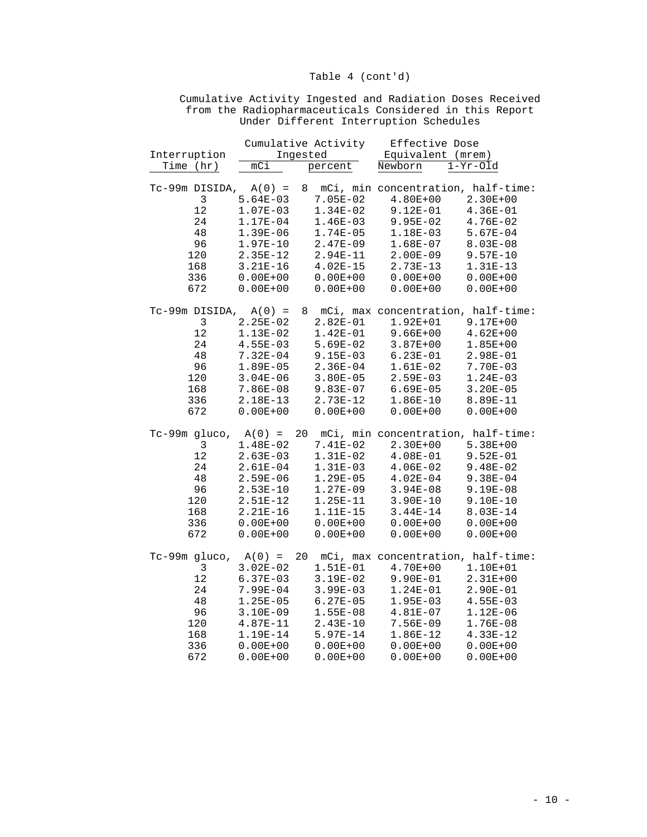|                                                                |              |          | Cumulative Activity | Effective Dose                       |              |
|----------------------------------------------------------------|--------------|----------|---------------------|--------------------------------------|--------------|
| Interruption                                                   |              | Ingested |                     | Equivalent (mrem)                    |              |
| Time (hr)                                                      | mCi          |          | percent             | Newborn                              | $1-Yr-01d$   |
|                                                                |              |          |                     |                                      |              |
| $Tc-99m$ DISIDA, $A(0) =$                                      |              |          |                     | 8 mCi, min concentration, half-time: |              |
| 3                                                              | $5.64E-03$   |          | $7.05E-02$          | $4.80E + 00$                         | $2.30E + 00$ |
| 12                                                             | $1.07E-03$   |          | $1.34E-02$          | $9.12E-01$                           | $4.36E-01$   |
| 24                                                             | 1.17E-04     |          | $1.46E-03$          | $9.95E-02$                           | $4.76E-02$   |
| 48                                                             | $1.39E-06$   |          | $1.74E-05$          | 1.18E-03                             | $5.67E-04$   |
| 96                                                             | $1.97E-10$   |          | $2.47E-09$          | $1.68E-07$                           | $8.03E - 08$ |
| 120                                                            | $2.35E-12$   |          | 2.94E-11            | $2.00E-09$                           | $9.57E - 10$ |
| 168                                                            | $3.21E-16$   |          | $4.02E-15$          | $2.73E-13$                           | $1.31E-13$   |
| 336                                                            | $0.00E + 00$ |          | $0.00E + 00$        | $0.00E + 00$                         | $0.00E + 00$ |
| 672                                                            | $0.00E + 00$ |          | $0.00E + 00$        | $0.00E + 00$                         | $0.00E + 00$ |
|                                                                |              |          |                     |                                      |              |
| $Tc-99m$ DISIDA, $A(0) =$                                      |              |          |                     | 8 mCi, max concentration, half-time: |              |
| 3                                                              | $2.25E-02$   |          | $2.82E-01$          | $1.92E + 01$                         | $9.17E + 00$ |
| 12                                                             | $1.13E-02$   |          | $1.42E-01$          | $9.66E + 00$                         | $4.62E + 00$ |
| 24                                                             | $4.55E-03$   |          | $5.69E-02$          | $3.87E + 00$                         | $1.85E + 00$ |
| 48                                                             | $7.32E - 04$ |          | $9.15E-03$          | $6.23E-01$                           | $2.98E-01$   |
| 96                                                             | $1.89E-05$   |          | $2.36E-04$          | $1.61E-02$                           | $7.70E-03$   |
| 120                                                            | $3.04E - 06$ |          | $3.80E - 05$        | $2.59E-03$                           | $1.24E-03$   |
| 168                                                            | $7.86E-08$   |          | $9.83E-07$          | $6.69E-05$                           | $3.20E - 05$ |
| 336                                                            | 2.18E-13     |          | $2.73E-12$          | $1.86E-10$                           | 8.89E-11     |
| 672                                                            | $0.00E + 00$ |          | $0.00E + 00$        | $0.00E + 00$                         | $0.00E + 00$ |
|                                                                |              |          |                     |                                      |              |
| $Tc-99m$ gluco, $A(0) = 20$ mCi, min concentration, half-time: |              |          |                     |                                      |              |
| 3                                                              | $1.48E-02$   |          | $7.41E-02$          | $2.30E + 00$                         | $5.38E + 00$ |
| 12                                                             | $2.63E-03$   |          | $1.31E-02$          | $4.08E-01$                           | $9.52E-01$   |
| 24                                                             | $2.61E-04$   |          | $1.31E-03$          | $4.06E-02$                           | 9.48E-02     |
| 48                                                             | $2.59E-06$   |          | $1.29E-05$          | $4.02E-04$                           | $9.38E - 04$ |
| 96                                                             | $2.53E-10$   |          | $1.27E-09$          | $3.94E-08$                           | $9.19E-08$   |
| 120                                                            | 2.51E-12     |          | $1.25E-11$          | $3.90E-10$                           | $9.10E-10$   |
| 168                                                            | $2.21E-16$   |          | 1.11E-15            | $3.44E-14$                           | 8.03E-14     |
| 336                                                            | $0.00E + 00$ |          | $0.00E + 00$        | $0.00E + 00$                         | $0.00E + 00$ |
| 672                                                            | $0.00E + 00$ |          | $0.00E + 00$        | $0.00E + 00$                         | $0.00E + 00$ |
|                                                                |              |          |                     |                                      |              |
| $Tc-99m$ gluco, $A(0) = 20$ mCi, max concentration, half-time: |              |          |                     |                                      |              |
| 3                                                              | $3.02E - 02$ |          | 1.51E-01            | $4.70E + 00$                         | 1.10E+01     |
| $12$                                                           | $6.37E-03$   |          | $3.19E-02$          | $9.90E-01$                           | $2.31E+00$   |
| 24                                                             | 7.99E-04     |          | $3.99E-03$          | $1.24E-01$                           | 2.90E-01     |
| 48                                                             | $1.25E-05$   |          | $6.27E-05$          | $1.95E-03$                           | $4.55E-03$   |
| 96                                                             | $3.10E-09$   |          | $1.55E-08$          | $4.81E-07$                           | $1.12E-06$   |
| 120                                                            | $4.87E-11$   |          | $2.43E-10$          | $7.56E-09$                           | $1.76E-08$   |
| 168                                                            | 1.19E-14     |          | $5.97E-14$          | $1.86E-12$                           | $4.33E-12$   |
| 336                                                            | $0.00E + 00$ |          | $0.00E + 00$        | $0.00E + 00$                         | $0.00E + 00$ |
|                                                                |              |          |                     |                                      |              |

672 0.00E+00 0.00E+00 0.00E+00 0.00E+00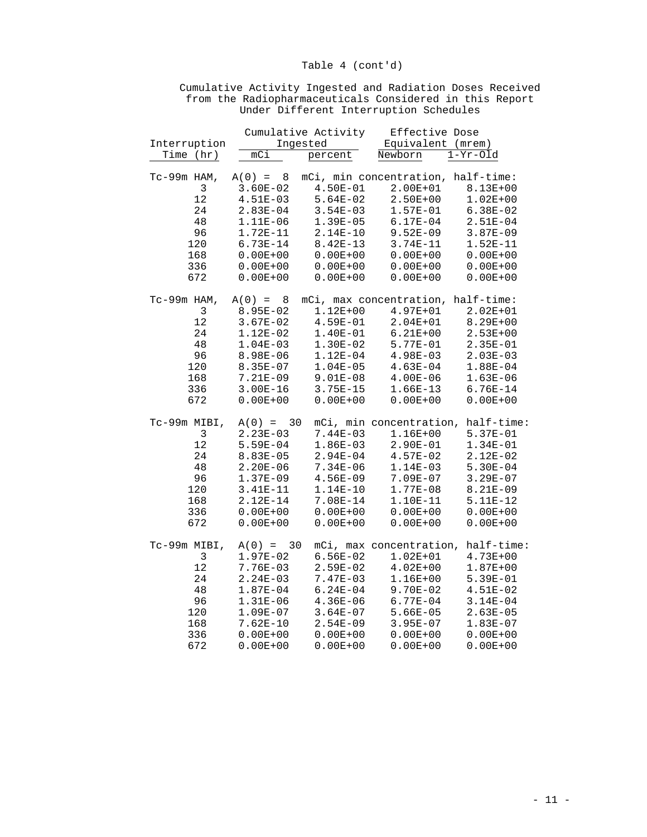|               |              | Cumulative Activity | Effective Dose                     |              |
|---------------|--------------|---------------------|------------------------------------|--------------|
| Interruption  |              | Ingested            | Equivalent (mrem)                  |              |
| Time (hr)     | mci          | percent             | Newborn                            | $1-Yr-01d$   |
|               |              |                     |                                    |              |
| $Tc-99m$ HAM, | $A(0) = 8$   |                     | mCi, min concentration, half-time: |              |
| 3             | $3.60E - 02$ | $4.50E-01$          | 2.00E+01                           | $8.13E + 00$ |
| 12            | $4.51E-03$   | $5.64E-02$          | $2.50E + 00$                       | $1.02E + 00$ |
| 24            | $2.83E-04$   | $3.54E-03$          | $1.57E-01$                         | $6.38E-02$   |
| 48            | 1.11E-06     | $1.39E-05$          | $6.17E-04$                         | $2.51E-04$   |
| 96            | 1.72E-11     |                     | $9.52E-09$                         | $3.87E-09$   |
|               |              | $2.14E-10$          |                                    |              |
| 120           | $6.73E-14$   | $8.42E-13$          | $3.74E-11$                         | $1.52E-11$   |
| 168           | $0.00E + 00$ | $0.00E + 00$        | $0.00E + 00$                       | $0.00E + 00$ |
| 336           | $0.00E + 00$ | $0.00E + 00$        | $0.00E + 00$                       | $0.00E + 00$ |
| 672           | $0.00E + 00$ | $0.00E + 00$        | $0.00E + 00$                       | $0.00E + 00$ |
| $Tc-99m$ HAM, | $A(0) = 8$   |                     | mCi, max concentration, half-time: |              |
| 3             | 8.95E-02     | $1.12E + 00$        | $4.97E + 01$                       | $2.02E + 01$ |
| 12            | $3.67E-02$   | $4.59E-01$          | $2.04E + 01$                       | $8.29E + 00$ |
| 24            | $1.12E-02$   | $1.40E-01$          | $6.21E + 00$                       | $2.53E + 00$ |
| 48            | $1.04E-03$   | $1.30E-02$          | 5.77E-01                           | $2.35E-01$   |
| 96            |              |                     |                                    |              |
|               | 8.98E-06     | $1.12E-04$          | $4.98E-03$                         | $2.03E-03$   |
| 120           | 8.35E-07     | $1.04E - 05$        | $4.63E-04$                         | $1.88E-04$   |
| 168           | 7.21E-09     | $9.01E-08$          | $4.00E-06$                         | $1.63E-06$   |
| 336           | $3.00E - 16$ | $3.75E - 15$        | $1.66E-13$                         | $6.76E - 14$ |
| 672           | $0.00E + 00$ | $0.00E + 00$        | $0.00E + 00$                       | $0.00E + 00$ |
| Tc-99m MIBI,  | $A(0) = 30$  |                     | mCi, min concentration, half-time: |              |
| $\mathbf{3}$  | $2.23E-03$   | $7.44E-03$          | $1.16E + 00$                       | $5.37E-01$   |
| 12            | $5.59E-04$   | $1.86E-03$          | 2.90E-01                           | $1.34E-01$   |
| 24            | $8.83E - 05$ | $2.94E-04$          | $4.57E-02$                         | $2.12E-02$   |
| 48            | $2.20E-06$   | $7.34E-06$          | $1.14E-03$                         | $5.30E-04$   |
| 96            | $1.37E-09$   | $4.56E-09$          | $7.09E - 07$                       | $3.29E - 07$ |
| 120           | $3.41E-11$   | $1.14E-10$          | 1.77E-08                           | 8.21E-09     |
| 168           | $2.12E-14$   | 7.08E-14            | 1.10E-11                           | $5.11E-12$   |
|               |              |                     |                                    |              |
| 336           | $0.00E + 00$ | $0.00E + 00$        | $0.00E + 00$                       | $0.00E + 00$ |
| 672           | $0.00E + 00$ | $0.00E + 00$        | $0.00E + 00$                       | $0.00E + 00$ |
| Tc-99m MIBI,  | $A(0) = 30$  |                     | mCi, max concentration, half-time: |              |
| 3             | $1.97E-02$   | $6.56E-02$          | $1.02E + 01$                       | $4.73E + 00$ |
| 12            | $7.76E - 03$ | $2.59E-02$          | $4.02E + 00$                       | $1.87E + 00$ |
| 24            | $2.24E-03$   | $7.47E-03$          | $1.16E + 00$                       | $5.39E-01$   |
| 48            | $1.87E - 04$ | $6.24E-04$          | $9.70E-02$                         | $4.51E-02$   |
| 96            | $1.31E-06$   | $4.36E-06$          | $6.77E-04$                         | $3.14E-04$   |
| 120           | $1.09E-07$   | $3.64E-07$          | $5.66E-05$                         | $2.63E-05$   |
| 168           | $7.62E-10$   | $2.54E-09$          | $3.95E-07$                         | $1.83E-07$   |
| 336           | $0.00E + 00$ | $0.00E + 00$        | $0.00E + 00$                       | $0.00E + 00$ |
|               |              |                     |                                    |              |

672 0.00E+00 0.00E+00 0.00E+00 0.00E+00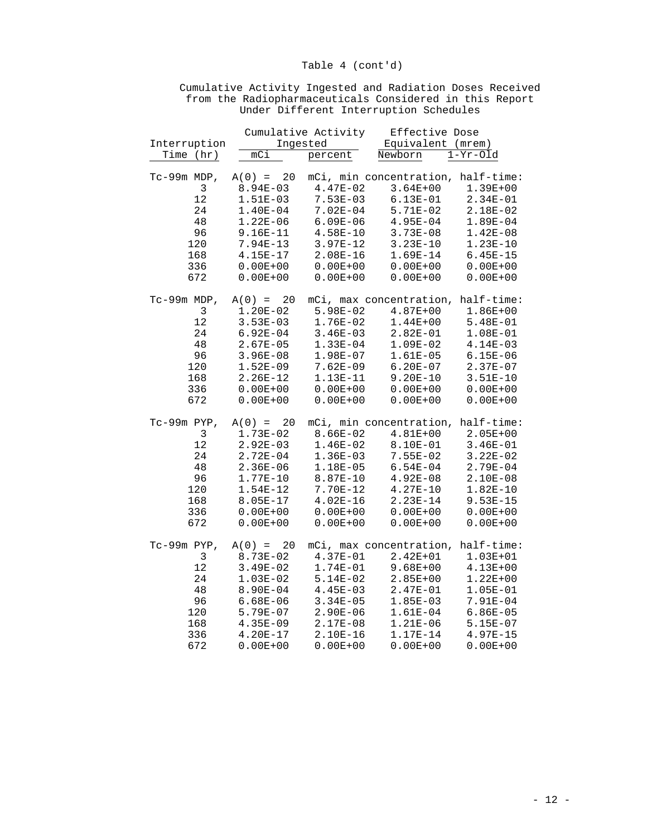|                |              | Cumulative Activity | Effective Dose                     |              |
|----------------|--------------|---------------------|------------------------------------|--------------|
| Interruption   |              | Ingested            | Equivalent (mrem)                  |              |
| Time (hr)      | mCi          | percent             | Newborn                            | $1-Yr-01d$   |
|                |              |                     |                                    |              |
| $Tc-99m$ MDP,  | $A(0) = 20$  |                     | mCi, min concentration, half-time: |              |
| $\mathbf{3}$   | $8.94E - 03$ | $4.47E-02$          | $3.64E + 00$                       | $1.39E + 00$ |
| 12             | $1.51E-03$   | $7.53E-03$          | $6.13E-01$                         | $2.34E-01$   |
| 24             | $1.40E-04$   | $7.02E-04$          | 5.71E-02                           | 2.18E-02     |
| 48             | $1.22E-06$   | $6.09E - 06$        | $4.95E-04$                         | $1.89E-04$   |
| 96             | $9.16E-11$   | $4.58E-10$          | $3.73E - 08$                       | $1.42E-08$   |
| 120            | 7.94E-13     | $3.97E-12$          | $3.23E-10$                         | $1.23E-10$   |
| 168            | $4.15E - 17$ | $2.08E-16$          | 1.69E-14                           | $6.45E - 15$ |
| 336            | $0.00E + 00$ | $0.00E + 00$        | $0.00E + 00$                       | $0.00E + 00$ |
| 672            | $0.00E + 00$ | $0.00E + 00$        | $0.00E + 00$                       | $0.00E + 00$ |
|                |              |                     |                                    |              |
| $Tc-99m$ MDP,  | $A(0) = 20$  |                     | mCi, max concentration, half-time: |              |
|                |              | $5.98E-02$          |                                    |              |
| $\mathfrak{Z}$ | $1.20E-02$   |                     | $4.87E + 00$                       | $1.86E + 00$ |
| $12$           | $3.53E-03$   | $1.76E-02$          | $1.44E + 00$                       | $5.48E-01$   |
| 24             | $6.92E-04$   | $3.46E-03$          | $2.82E-01$                         | $1.08E-01$   |
| 48             | $2.67E-05$   | $1.33E-04$          | $1.09E-02$                         | $4.14E-03$   |
| 96             | $3.96E-08$   | 1.98E-07            | $1.61E-05$                         | $6.15E - 06$ |
| 120            | $1.52E-09$   | $7.62E - 09$        | $6.20E-07$                         | $2.37E-07$   |
| 168            | $2.26E - 12$ | 1.13E-11            | $9.20E-10$                         | $3.51E-10$   |
| 336            | $0.00E + 00$ | $0.00E + 00$        | $0.00E + 00$                       | $0.00E + 00$ |
| 672            | $0.00E + 00$ | $0.00E + 00$        | $0.00E + 00$                       | $0.00E + 00$ |
| $Tc-99m$ PYP,  | $A(0) = 20$  |                     | mCi, min concentration, half-time: |              |
| 3              | 1.73E-02     | $8.66E-02$          | $4.81E + 00$                       | $2.05E + 00$ |
| 12             | $2.92E-03$   | $1.46E-02$          | $8.10E-01$                         | $3.46E - 01$ |
| 24             | $2.72E-04$   | $1.36E-03$          | $7.55E-02$                         | $3.22E-02$   |
| 48             | $2.36E-06$   | 1.18E-05            | $6.54E-04$                         | $2.79E-04$   |
| 96             | 1.77E-10     | $8.87E - 10$        | $4.92E-08$                         | $2.10E-08$   |
| 120            | $1.54E-12$   | 7.70E-12            | $4.27E-10$                         | $1.82E-10$   |
| 168            | 8.05E-17     | $4.02E-16$          | $2.23E-14$                         | $9.53E - 15$ |
| 336            | $0.00E + 00$ | $0.00E + 00$        | $0.00E + 00$                       | $0.00E + 00$ |
| 672            | $0.00E + 00$ | $0.00E + 00$        | $0.00E + 00$                       | $0.00E + 00$ |
|                |              |                     |                                    |              |
| Tc-99m PYP,    | $A(0) = 20$  |                     | mCi, max concentration, half-time: |              |
| 3              | 8.73E-02     | $4.37E-01$          | $2.42E + 01$                       | $1.03E + 01$ |
| $12\,$         | $3.49E-02$   | $1.74E-01$          | $9.68E + 00$                       | $4.13E + 00$ |
| 24             | $1.03E-02$   | $5.14E-02$          | $2.85E+00$                         | $1.22E + 00$ |
| 48             | 8.90E-04     | $4.45E-03$          | $2.47E-01$                         | $1.05E-01$   |
| 96             | $6.68E-06$   | $3.34E - 05$        | $1.85E-03$                         | 7.91E-04     |
| 120            | 5.79E-07     | $2.90E-06$          | $1.61E-04$                         | $6.86E-05$   |
| 168            |              | 2.17E-08            |                                    |              |
|                | $4.35E-09$   |                     | $1.21E-06$                         | $5.15E-07$   |
| 336            | $4.20E - 17$ | 2.10E-16            | 1.17E-14                           | $4.97E - 15$ |

672 0.00E+00 0.00E+00 0.00E+00 0.00E+00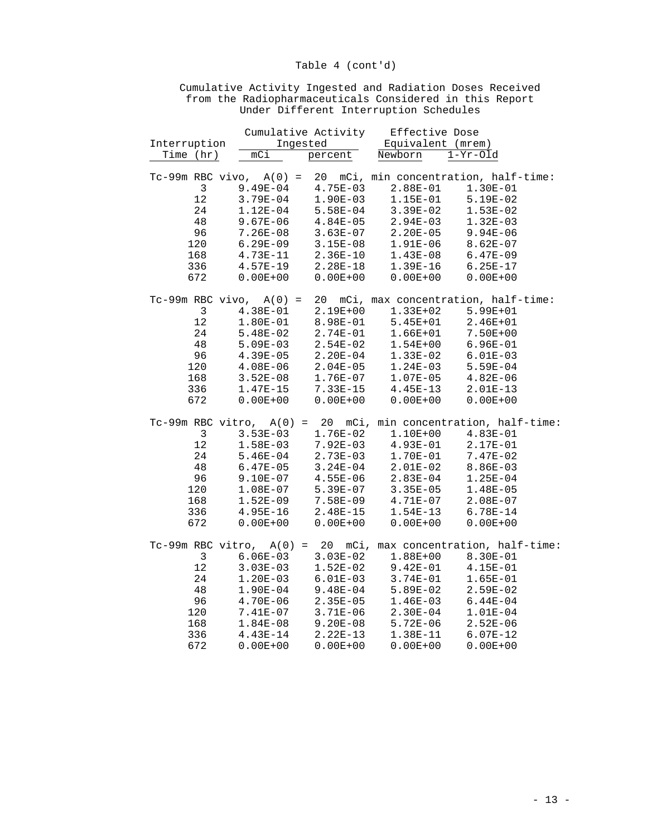|                |                                                                    |                             | Cumulative Activity Effective Dose |              |  |
|----------------|--------------------------------------------------------------------|-----------------------------|------------------------------------|--------------|--|
| Interruption   | Ingested                                                           | $\mathcal{L}^{\mathcal{L}}$ | Equivalent (mrem)                  |              |  |
| Time (hr)      | mC1                                                                | percent                     | Newborn                            | $1-Yr-Old$   |  |
|                |                                                                    |                             |                                    |              |  |
|                | Tc-99m RBC vivo, A(0) = 20 mCi, min concentration, half-time:      |                             |                                    |              |  |
| $\mathfrak{Z}$ | $9.49E-04$                                                         | $4.75E-03$                  | $2.88E-01$                         | $1.30E-01$   |  |
| 12             | $3.79E-04$                                                         | $1.90E-03$                  | $1.15E-01$                         | $5.19E-02$   |  |
| 24             | $1.12E-04$                                                         | $5.58E-04$                  | $3.39E-02$                         | $1.53E-02$   |  |
| 48             | $9.67E - 06$                                                       | $4.84E - 05$                | $2.94E-03$                         | $1.32E-03$   |  |
| 96             | $7.26E - 08$                                                       | $3.63E-07$                  | $2.20E-05$                         | $9.94E - 06$ |  |
| 120            | $6.29E-09$                                                         | $3.15E-08$                  | $1.91E-06$                         | $8.62E-07$   |  |
| 168            | 4.73E-11                                                           | $2.36E-10$                  | $1.43E-08$                         | $6.47E-09$   |  |
| 336            | $4.57E-19$                                                         | 2.28E-18                    | $1.39E-16$                         | $6.25E-17$   |  |
| 672            | $0.00E + 00$                                                       | $0.00E + 00$                | $0.00E + 00$                       | $0.00E + 00$ |  |
|                |                                                                    |                             |                                    |              |  |
|                | $Tc-99m$ RBC vivo, $A(0) = 20$ mCi, max concentration, half-time:  |                             |                                    |              |  |
| $\mathbf{3}$   | $4.38E-01$                                                         | $2.19E + 00$                | $1.33E + 02$                       | $5.99E + 01$ |  |
| 12             | $1.80E-01$                                                         | 8.98E-01                    | $5.45E + 01$                       | $2.46E + 01$ |  |
| 24             | $5.48E-02$                                                         | 2.74E-01                    | 1.66E+01                           | 7.50E+00     |  |
| 48             | $5.09E-03$                                                         | $2.54E-02$                  | $1.54E + 00$                       | $6.96E-01$   |  |
| 96             | $4.39E-05$                                                         | $2.20E-04$                  | 1.33E-02                           | $6.01E-03$   |  |
| 120            | $4.08E - 06$                                                       | $2.04E-05$                  | $1.24E-03$                         | $5.59E-04$   |  |
| 168            | $3.52E-08$                                                         | $1.76E-07$                  | $1.07E-05$                         | $4.82E-06$   |  |
| 336            | $1.47E-15$                                                         | 7.33E-15                    | $4.45E-13$                         | $2.01E-13$   |  |
| 672            | $0.00E + 00$                                                       | $0.00E + 00$                | $0.00E + 00$                       | $0.00E + 00$ |  |
|                |                                                                    |                             |                                    |              |  |
|                | $Tc-99m$ RBC vitro, $A(0) = 20$ mCi, min concentration, half-time: |                             |                                    |              |  |
| $\overline{3}$ | $3.53E-03$                                                         | 1.76E-02                    | $1.10E + 00$                       | $4.83E-01$   |  |
| 12             | $1.58E-03$                                                         | $7.92E-03$                  | $4.93E-01$                         | 2.17E-01     |  |
| 24             | $5.46E-04$                                                         | $2.73E-03$                  | 1.70E-01                           | $7.47E-02$   |  |
| 48             | $6.47E-05$                                                         | $3.24E-04$                  | $2.01E-02$                         | $8.86E - 03$ |  |
| 96             | $9.10E-07$                                                         | $4.55E-06$                  | $2.83E-04$                         | $1.25E-04$   |  |
| 120            | $1.08E-07$                                                         | $5.39E-07$                  | $3.35E-05$                         | $1.48E-05$   |  |
| 168            | $1.52E-09$                                                         | 7.58E-09                    | $4.71E-07$                         | $2.08E-07$   |  |
| 336            | $4.95E-16$                                                         | 2.48E-15                    | $1.54E-13$                         | $6.78E - 14$ |  |
| 672            | $0.00E + 00$                                                       | $0.00E + 00$                | $0.00E + 00$                       | $0.00E + 00$ |  |
|                | $Tc-99m$ RBC vitro, $A(0) = 20$ mCi, max concentration, half-time: |                             |                                    |              |  |
| $\overline{3}$ | $6.06E-03$ 3.03E-02                                                |                             | $1.88E + 00$                       | $8.30E - 01$ |  |
| $12$           | $3.03E-03$                                                         | $1.52E-02$                  | $9.42E-01$                         | 4.15E-01     |  |
|                |                                                                    |                             |                                    |              |  |
| 24             | $1.20E-03$                                                         | $6.01E-03$                  | $3.74E-01$                         | $1.65E-01$   |  |
| 48             | $1.90E-04$                                                         | $9.48E-04$                  | $5.89E-02$                         | $2.59E-02$   |  |
| 96             | $4.70E-06$                                                         | $2.35E-05$                  | $1.46E-03$                         | $6.44E-04$   |  |
| 120            | 7.41E-07                                                           | 3.71E-06                    | $2.30E-04$                         | $1.01E-04$   |  |
| 168            | $1.84E-08$                                                         | $9.20E-08$                  | $5.72E-06$                         | $2.52E - 06$ |  |
| 336            | $4.43E-14$                                                         | $2.22E-13$                  | 1.38E-11                           | $6.07E-12$   |  |

672 0.00E+00 0.00E+00 0.00E+00 0.00E+00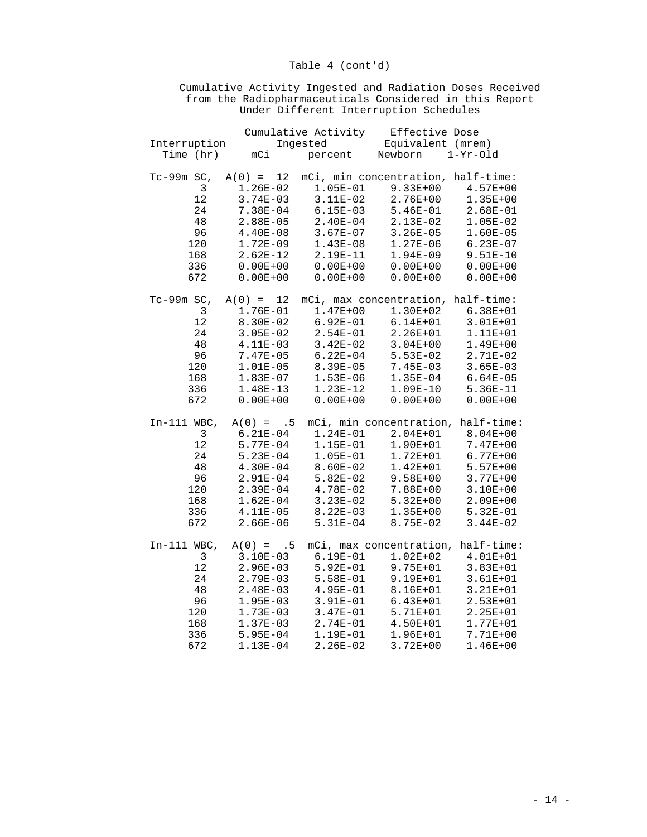| Interruption<br>Ingested<br>Equivalent (mrem)<br>$\mathbb{R}^2$<br>mCi<br>Time (hr)<br>percent<br>Newborn<br>$1-Yr-01d$<br>$A(0) = 12$ mCi, min concentration, half-time:<br>$Tc-99m$ SC,<br>3<br>$9.33E + 00$<br>$1.26E-02$<br>$1.05E-01$<br>$4.57E + 00$<br>12<br>$3.11E-02$<br>$3.74E - 03$<br>$2.76E + 00$<br>$1.35E + 00$<br>24<br>7.38E-04<br>$6.15E-03$<br>$5.46E-01$<br>$2.68E-01$<br>48<br>$2.13E-02$<br>$2.88E - 05$<br>$2.40E - 04$<br>$1.05E-02$<br>96<br>$4.40E-08$<br>$3.67E-07$<br>$3.26E - 05$<br>$1.60E-05$<br>120<br>$1.43E-08$<br>$1.27E-06$<br>$6.23E-07$<br>$1.72E-09$<br>168<br>$2.62E-12$<br>2.19E-11<br>$1.94E-09$<br>$9.51E-10$<br>336<br>$0.00E + 00$<br>$0.00E + 00$<br>$0.00E + 00$<br>$0.00E + 00$<br>672<br>$0.00E + 00$<br>$0.00E + 00$<br>$0.00E + 00$<br>$0.00E + 00$<br>Tc-99m SC,<br>$A(0) = 12$ mCi, max concentration, half-time:<br>$\mathbf{3}$<br>$1.47E + 00$<br>$1.76E-01$<br>$1.30E + 02$<br>$6.38E + 01$<br>12<br>$6.92E-01$<br>$3.01E + 01$<br>8.30E-02<br>$6.14E + 01$<br>24<br>$3.05E-02$<br>$2.54E-01$<br>$2.26E + 01$<br>1.11E+01<br>$4\,8$<br>4.11E-03<br>$3.42E-02$<br>$3.04E + 00$<br>$1.49E + 00$<br>96<br>7.47E-05<br>$6.22E - 04$<br>$5.53E-02$<br>$2.71E-02$<br>120<br>$1.01E-05$<br>8.39E-05<br>$3.65E-03$<br>$7.45E-03$<br>168<br>$1.53E-06$<br>$1.35E-04$<br>$6.64E - 05$<br>$1.83E-07$<br>336<br>1.48E-13<br>$1.23E-12$<br>$1.09E-10$<br>$5.36E - 11$<br>672<br>$0.00E + 00$<br>$0.00E + 00$<br>$0.00E + 00$<br>$0.00E + 00$<br>$In-111$ WBC,<br>$A(0) = .5$<br>mCi, min concentration, half-time:<br>$\mathbf{3}$<br>$1.24E-01$<br>2.04E+01<br>$8.04E + 00$<br>$6.21E-04$<br>$12$<br>$5.77E-04$<br>1.15E-01<br>$1.90E + 01$<br>$7.47E + 00$<br>24<br>$5.23E-04$<br>$1.05E-01$<br>$1.72E + 01$<br>$6.77E + 00$<br>48<br>$4.30E-04$<br>$8.60E-02$<br>$1.42E + 01$<br>$5.57E + 00$<br>96<br>$2.91E-04$<br>$5.82E-02$<br>$9.58E + 00$<br>$3.77E + 00$<br>120<br>$2.39E-04$<br>4.78E-02<br>7.88E+00<br>$3.10E + 00$<br>168<br>$3.23E-02$<br>$5.32E + 00$<br>$2.09E + 00$<br>$1.62E-04$<br>336<br>$8.22E-03$<br>$5.32E-01$<br>4.11E-05<br>$1.35E + 00$<br>672<br>8.75E-02<br>$3.44E-02$<br>$2.66E - 06$<br>$5.31E-04$<br>$In-111$ WBC,<br>mCi, max concentration, half-time:<br>$A(0) = .5$<br>3<br>$6.19E-01$<br>$1.02E + 02$<br>$3.10E-03$<br>4.01E+01<br>$12$<br>$2.96E-03$<br>$5.92E-01$<br>$9.75E + 01$<br>$3.83E + 01$<br>24<br>$5.58E-01$<br>9.19E+01<br>$3.61E + 01$<br>$2.79E-03$<br>48<br>$2.48E-03$<br>$4.95E-01$<br>8.16E+01<br>$3.21E + 01$<br>96<br>$1.95E-03$<br>$3.91E-01$<br>$6.43E + 01$<br>$2.53E + 01$<br>120<br>$1.73E-03$<br>$3.47E-01$<br>5.71E+01<br>$2.25E + 01$<br>168<br>$2.74E-01$<br>4.50E+01<br>$1.37E-03$<br>$1.77E + 01$<br>336<br>$5.95E-04$<br>1.19E-01<br>$1.96E + 01$<br>7.71E+00 |  |  | Cumulative Activity | Effective Dose |  |
|------------------------------------------------------------------------------------------------------------------------------------------------------------------------------------------------------------------------------------------------------------------------------------------------------------------------------------------------------------------------------------------------------------------------------------------------------------------------------------------------------------------------------------------------------------------------------------------------------------------------------------------------------------------------------------------------------------------------------------------------------------------------------------------------------------------------------------------------------------------------------------------------------------------------------------------------------------------------------------------------------------------------------------------------------------------------------------------------------------------------------------------------------------------------------------------------------------------------------------------------------------------------------------------------------------------------------------------------------------------------------------------------------------------------------------------------------------------------------------------------------------------------------------------------------------------------------------------------------------------------------------------------------------------------------------------------------------------------------------------------------------------------------------------------------------------------------------------------------------------------------------------------------------------------------------------------------------------------------------------------------------------------------------------------------------------------------------------------------------------------------------------------------------------------------------------------------------------------------------------------------------------------------------------------------------------------------------------------------------------------------------------------------------------------------------------------------------------------------------------------------------------------------------------------------------------------------------------------------------------------------------------------------------------------------------------------------------------------------------------------------------------------------|--|--|---------------------|----------------|--|
|                                                                                                                                                                                                                                                                                                                                                                                                                                                                                                                                                                                                                                                                                                                                                                                                                                                                                                                                                                                                                                                                                                                                                                                                                                                                                                                                                                                                                                                                                                                                                                                                                                                                                                                                                                                                                                                                                                                                                                                                                                                                                                                                                                                                                                                                                                                                                                                                                                                                                                                                                                                                                                                                                                                                                                              |  |  |                     |                |  |
|                                                                                                                                                                                                                                                                                                                                                                                                                                                                                                                                                                                                                                                                                                                                                                                                                                                                                                                                                                                                                                                                                                                                                                                                                                                                                                                                                                                                                                                                                                                                                                                                                                                                                                                                                                                                                                                                                                                                                                                                                                                                                                                                                                                                                                                                                                                                                                                                                                                                                                                                                                                                                                                                                                                                                                              |  |  |                     |                |  |
|                                                                                                                                                                                                                                                                                                                                                                                                                                                                                                                                                                                                                                                                                                                                                                                                                                                                                                                                                                                                                                                                                                                                                                                                                                                                                                                                                                                                                                                                                                                                                                                                                                                                                                                                                                                                                                                                                                                                                                                                                                                                                                                                                                                                                                                                                                                                                                                                                                                                                                                                                                                                                                                                                                                                                                              |  |  |                     |                |  |
|                                                                                                                                                                                                                                                                                                                                                                                                                                                                                                                                                                                                                                                                                                                                                                                                                                                                                                                                                                                                                                                                                                                                                                                                                                                                                                                                                                                                                                                                                                                                                                                                                                                                                                                                                                                                                                                                                                                                                                                                                                                                                                                                                                                                                                                                                                                                                                                                                                                                                                                                                                                                                                                                                                                                                                              |  |  |                     |                |  |
|                                                                                                                                                                                                                                                                                                                                                                                                                                                                                                                                                                                                                                                                                                                                                                                                                                                                                                                                                                                                                                                                                                                                                                                                                                                                                                                                                                                                                                                                                                                                                                                                                                                                                                                                                                                                                                                                                                                                                                                                                                                                                                                                                                                                                                                                                                                                                                                                                                                                                                                                                                                                                                                                                                                                                                              |  |  |                     |                |  |
|                                                                                                                                                                                                                                                                                                                                                                                                                                                                                                                                                                                                                                                                                                                                                                                                                                                                                                                                                                                                                                                                                                                                                                                                                                                                                                                                                                                                                                                                                                                                                                                                                                                                                                                                                                                                                                                                                                                                                                                                                                                                                                                                                                                                                                                                                                                                                                                                                                                                                                                                                                                                                                                                                                                                                                              |  |  |                     |                |  |
|                                                                                                                                                                                                                                                                                                                                                                                                                                                                                                                                                                                                                                                                                                                                                                                                                                                                                                                                                                                                                                                                                                                                                                                                                                                                                                                                                                                                                                                                                                                                                                                                                                                                                                                                                                                                                                                                                                                                                                                                                                                                                                                                                                                                                                                                                                                                                                                                                                                                                                                                                                                                                                                                                                                                                                              |  |  |                     |                |  |
|                                                                                                                                                                                                                                                                                                                                                                                                                                                                                                                                                                                                                                                                                                                                                                                                                                                                                                                                                                                                                                                                                                                                                                                                                                                                                                                                                                                                                                                                                                                                                                                                                                                                                                                                                                                                                                                                                                                                                                                                                                                                                                                                                                                                                                                                                                                                                                                                                                                                                                                                                                                                                                                                                                                                                                              |  |  |                     |                |  |
|                                                                                                                                                                                                                                                                                                                                                                                                                                                                                                                                                                                                                                                                                                                                                                                                                                                                                                                                                                                                                                                                                                                                                                                                                                                                                                                                                                                                                                                                                                                                                                                                                                                                                                                                                                                                                                                                                                                                                                                                                                                                                                                                                                                                                                                                                                                                                                                                                                                                                                                                                                                                                                                                                                                                                                              |  |  |                     |                |  |
|                                                                                                                                                                                                                                                                                                                                                                                                                                                                                                                                                                                                                                                                                                                                                                                                                                                                                                                                                                                                                                                                                                                                                                                                                                                                                                                                                                                                                                                                                                                                                                                                                                                                                                                                                                                                                                                                                                                                                                                                                                                                                                                                                                                                                                                                                                                                                                                                                                                                                                                                                                                                                                                                                                                                                                              |  |  |                     |                |  |
|                                                                                                                                                                                                                                                                                                                                                                                                                                                                                                                                                                                                                                                                                                                                                                                                                                                                                                                                                                                                                                                                                                                                                                                                                                                                                                                                                                                                                                                                                                                                                                                                                                                                                                                                                                                                                                                                                                                                                                                                                                                                                                                                                                                                                                                                                                                                                                                                                                                                                                                                                                                                                                                                                                                                                                              |  |  |                     |                |  |
|                                                                                                                                                                                                                                                                                                                                                                                                                                                                                                                                                                                                                                                                                                                                                                                                                                                                                                                                                                                                                                                                                                                                                                                                                                                                                                                                                                                                                                                                                                                                                                                                                                                                                                                                                                                                                                                                                                                                                                                                                                                                                                                                                                                                                                                                                                                                                                                                                                                                                                                                                                                                                                                                                                                                                                              |  |  |                     |                |  |
|                                                                                                                                                                                                                                                                                                                                                                                                                                                                                                                                                                                                                                                                                                                                                                                                                                                                                                                                                                                                                                                                                                                                                                                                                                                                                                                                                                                                                                                                                                                                                                                                                                                                                                                                                                                                                                                                                                                                                                                                                                                                                                                                                                                                                                                                                                                                                                                                                                                                                                                                                                                                                                                                                                                                                                              |  |  |                     |                |  |
|                                                                                                                                                                                                                                                                                                                                                                                                                                                                                                                                                                                                                                                                                                                                                                                                                                                                                                                                                                                                                                                                                                                                                                                                                                                                                                                                                                                                                                                                                                                                                                                                                                                                                                                                                                                                                                                                                                                                                                                                                                                                                                                                                                                                                                                                                                                                                                                                                                                                                                                                                                                                                                                                                                                                                                              |  |  |                     |                |  |
|                                                                                                                                                                                                                                                                                                                                                                                                                                                                                                                                                                                                                                                                                                                                                                                                                                                                                                                                                                                                                                                                                                                                                                                                                                                                                                                                                                                                                                                                                                                                                                                                                                                                                                                                                                                                                                                                                                                                                                                                                                                                                                                                                                                                                                                                                                                                                                                                                                                                                                                                                                                                                                                                                                                                                                              |  |  |                     |                |  |
|                                                                                                                                                                                                                                                                                                                                                                                                                                                                                                                                                                                                                                                                                                                                                                                                                                                                                                                                                                                                                                                                                                                                                                                                                                                                                                                                                                                                                                                                                                                                                                                                                                                                                                                                                                                                                                                                                                                                                                                                                                                                                                                                                                                                                                                                                                                                                                                                                                                                                                                                                                                                                                                                                                                                                                              |  |  |                     |                |  |
|                                                                                                                                                                                                                                                                                                                                                                                                                                                                                                                                                                                                                                                                                                                                                                                                                                                                                                                                                                                                                                                                                                                                                                                                                                                                                                                                                                                                                                                                                                                                                                                                                                                                                                                                                                                                                                                                                                                                                                                                                                                                                                                                                                                                                                                                                                                                                                                                                                                                                                                                                                                                                                                                                                                                                                              |  |  |                     |                |  |
|                                                                                                                                                                                                                                                                                                                                                                                                                                                                                                                                                                                                                                                                                                                                                                                                                                                                                                                                                                                                                                                                                                                                                                                                                                                                                                                                                                                                                                                                                                                                                                                                                                                                                                                                                                                                                                                                                                                                                                                                                                                                                                                                                                                                                                                                                                                                                                                                                                                                                                                                                                                                                                                                                                                                                                              |  |  |                     |                |  |
|                                                                                                                                                                                                                                                                                                                                                                                                                                                                                                                                                                                                                                                                                                                                                                                                                                                                                                                                                                                                                                                                                                                                                                                                                                                                                                                                                                                                                                                                                                                                                                                                                                                                                                                                                                                                                                                                                                                                                                                                                                                                                                                                                                                                                                                                                                                                                                                                                                                                                                                                                                                                                                                                                                                                                                              |  |  |                     |                |  |
|                                                                                                                                                                                                                                                                                                                                                                                                                                                                                                                                                                                                                                                                                                                                                                                                                                                                                                                                                                                                                                                                                                                                                                                                                                                                                                                                                                                                                                                                                                                                                                                                                                                                                                                                                                                                                                                                                                                                                                                                                                                                                                                                                                                                                                                                                                                                                                                                                                                                                                                                                                                                                                                                                                                                                                              |  |  |                     |                |  |
|                                                                                                                                                                                                                                                                                                                                                                                                                                                                                                                                                                                                                                                                                                                                                                                                                                                                                                                                                                                                                                                                                                                                                                                                                                                                                                                                                                                                                                                                                                                                                                                                                                                                                                                                                                                                                                                                                                                                                                                                                                                                                                                                                                                                                                                                                                                                                                                                                                                                                                                                                                                                                                                                                                                                                                              |  |  |                     |                |  |
|                                                                                                                                                                                                                                                                                                                                                                                                                                                                                                                                                                                                                                                                                                                                                                                                                                                                                                                                                                                                                                                                                                                                                                                                                                                                                                                                                                                                                                                                                                                                                                                                                                                                                                                                                                                                                                                                                                                                                                                                                                                                                                                                                                                                                                                                                                                                                                                                                                                                                                                                                                                                                                                                                                                                                                              |  |  |                     |                |  |
|                                                                                                                                                                                                                                                                                                                                                                                                                                                                                                                                                                                                                                                                                                                                                                                                                                                                                                                                                                                                                                                                                                                                                                                                                                                                                                                                                                                                                                                                                                                                                                                                                                                                                                                                                                                                                                                                                                                                                                                                                                                                                                                                                                                                                                                                                                                                                                                                                                                                                                                                                                                                                                                                                                                                                                              |  |  |                     |                |  |
|                                                                                                                                                                                                                                                                                                                                                                                                                                                                                                                                                                                                                                                                                                                                                                                                                                                                                                                                                                                                                                                                                                                                                                                                                                                                                                                                                                                                                                                                                                                                                                                                                                                                                                                                                                                                                                                                                                                                                                                                                                                                                                                                                                                                                                                                                                                                                                                                                                                                                                                                                                                                                                                                                                                                                                              |  |  |                     |                |  |
|                                                                                                                                                                                                                                                                                                                                                                                                                                                                                                                                                                                                                                                                                                                                                                                                                                                                                                                                                                                                                                                                                                                                                                                                                                                                                                                                                                                                                                                                                                                                                                                                                                                                                                                                                                                                                                                                                                                                                                                                                                                                                                                                                                                                                                                                                                                                                                                                                                                                                                                                                                                                                                                                                                                                                                              |  |  |                     |                |  |
|                                                                                                                                                                                                                                                                                                                                                                                                                                                                                                                                                                                                                                                                                                                                                                                                                                                                                                                                                                                                                                                                                                                                                                                                                                                                                                                                                                                                                                                                                                                                                                                                                                                                                                                                                                                                                                                                                                                                                                                                                                                                                                                                                                                                                                                                                                                                                                                                                                                                                                                                                                                                                                                                                                                                                                              |  |  |                     |                |  |
|                                                                                                                                                                                                                                                                                                                                                                                                                                                                                                                                                                                                                                                                                                                                                                                                                                                                                                                                                                                                                                                                                                                                                                                                                                                                                                                                                                                                                                                                                                                                                                                                                                                                                                                                                                                                                                                                                                                                                                                                                                                                                                                                                                                                                                                                                                                                                                                                                                                                                                                                                                                                                                                                                                                                                                              |  |  |                     |                |  |
|                                                                                                                                                                                                                                                                                                                                                                                                                                                                                                                                                                                                                                                                                                                                                                                                                                                                                                                                                                                                                                                                                                                                                                                                                                                                                                                                                                                                                                                                                                                                                                                                                                                                                                                                                                                                                                                                                                                                                                                                                                                                                                                                                                                                                                                                                                                                                                                                                                                                                                                                                                                                                                                                                                                                                                              |  |  |                     |                |  |
|                                                                                                                                                                                                                                                                                                                                                                                                                                                                                                                                                                                                                                                                                                                                                                                                                                                                                                                                                                                                                                                                                                                                                                                                                                                                                                                                                                                                                                                                                                                                                                                                                                                                                                                                                                                                                                                                                                                                                                                                                                                                                                                                                                                                                                                                                                                                                                                                                                                                                                                                                                                                                                                                                                                                                                              |  |  |                     |                |  |
|                                                                                                                                                                                                                                                                                                                                                                                                                                                                                                                                                                                                                                                                                                                                                                                                                                                                                                                                                                                                                                                                                                                                                                                                                                                                                                                                                                                                                                                                                                                                                                                                                                                                                                                                                                                                                                                                                                                                                                                                                                                                                                                                                                                                                                                                                                                                                                                                                                                                                                                                                                                                                                                                                                                                                                              |  |  |                     |                |  |
|                                                                                                                                                                                                                                                                                                                                                                                                                                                                                                                                                                                                                                                                                                                                                                                                                                                                                                                                                                                                                                                                                                                                                                                                                                                                                                                                                                                                                                                                                                                                                                                                                                                                                                                                                                                                                                                                                                                                                                                                                                                                                                                                                                                                                                                                                                                                                                                                                                                                                                                                                                                                                                                                                                                                                                              |  |  |                     |                |  |
|                                                                                                                                                                                                                                                                                                                                                                                                                                                                                                                                                                                                                                                                                                                                                                                                                                                                                                                                                                                                                                                                                                                                                                                                                                                                                                                                                                                                                                                                                                                                                                                                                                                                                                                                                                                                                                                                                                                                                                                                                                                                                                                                                                                                                                                                                                                                                                                                                                                                                                                                                                                                                                                                                                                                                                              |  |  |                     |                |  |
|                                                                                                                                                                                                                                                                                                                                                                                                                                                                                                                                                                                                                                                                                                                                                                                                                                                                                                                                                                                                                                                                                                                                                                                                                                                                                                                                                                                                                                                                                                                                                                                                                                                                                                                                                                                                                                                                                                                                                                                                                                                                                                                                                                                                                                                                                                                                                                                                                                                                                                                                                                                                                                                                                                                                                                              |  |  |                     |                |  |
|                                                                                                                                                                                                                                                                                                                                                                                                                                                                                                                                                                                                                                                                                                                                                                                                                                                                                                                                                                                                                                                                                                                                                                                                                                                                                                                                                                                                                                                                                                                                                                                                                                                                                                                                                                                                                                                                                                                                                                                                                                                                                                                                                                                                                                                                                                                                                                                                                                                                                                                                                                                                                                                                                                                                                                              |  |  |                     |                |  |
|                                                                                                                                                                                                                                                                                                                                                                                                                                                                                                                                                                                                                                                                                                                                                                                                                                                                                                                                                                                                                                                                                                                                                                                                                                                                                                                                                                                                                                                                                                                                                                                                                                                                                                                                                                                                                                                                                                                                                                                                                                                                                                                                                                                                                                                                                                                                                                                                                                                                                                                                                                                                                                                                                                                                                                              |  |  |                     |                |  |
|                                                                                                                                                                                                                                                                                                                                                                                                                                                                                                                                                                                                                                                                                                                                                                                                                                                                                                                                                                                                                                                                                                                                                                                                                                                                                                                                                                                                                                                                                                                                                                                                                                                                                                                                                                                                                                                                                                                                                                                                                                                                                                                                                                                                                                                                                                                                                                                                                                                                                                                                                                                                                                                                                                                                                                              |  |  |                     |                |  |
|                                                                                                                                                                                                                                                                                                                                                                                                                                                                                                                                                                                                                                                                                                                                                                                                                                                                                                                                                                                                                                                                                                                                                                                                                                                                                                                                                                                                                                                                                                                                                                                                                                                                                                                                                                                                                                                                                                                                                                                                                                                                                                                                                                                                                                                                                                                                                                                                                                                                                                                                                                                                                                                                                                                                                                              |  |  |                     |                |  |
|                                                                                                                                                                                                                                                                                                                                                                                                                                                                                                                                                                                                                                                                                                                                                                                                                                                                                                                                                                                                                                                                                                                                                                                                                                                                                                                                                                                                                                                                                                                                                                                                                                                                                                                                                                                                                                                                                                                                                                                                                                                                                                                                                                                                                                                                                                                                                                                                                                                                                                                                                                                                                                                                                                                                                                              |  |  |                     |                |  |
|                                                                                                                                                                                                                                                                                                                                                                                                                                                                                                                                                                                                                                                                                                                                                                                                                                                                                                                                                                                                                                                                                                                                                                                                                                                                                                                                                                                                                                                                                                                                                                                                                                                                                                                                                                                                                                                                                                                                                                                                                                                                                                                                                                                                                                                                                                                                                                                                                                                                                                                                                                                                                                                                                                                                                                              |  |  |                     |                |  |
|                                                                                                                                                                                                                                                                                                                                                                                                                                                                                                                                                                                                                                                                                                                                                                                                                                                                                                                                                                                                                                                                                                                                                                                                                                                                                                                                                                                                                                                                                                                                                                                                                                                                                                                                                                                                                                                                                                                                                                                                                                                                                                                                                                                                                                                                                                                                                                                                                                                                                                                                                                                                                                                                                                                                                                              |  |  |                     |                |  |
|                                                                                                                                                                                                                                                                                                                                                                                                                                                                                                                                                                                                                                                                                                                                                                                                                                                                                                                                                                                                                                                                                                                                                                                                                                                                                                                                                                                                                                                                                                                                                                                                                                                                                                                                                                                                                                                                                                                                                                                                                                                                                                                                                                                                                                                                                                                                                                                                                                                                                                                                                                                                                                                                                                                                                                              |  |  |                     |                |  |
|                                                                                                                                                                                                                                                                                                                                                                                                                                                                                                                                                                                                                                                                                                                                                                                                                                                                                                                                                                                                                                                                                                                                                                                                                                                                                                                                                                                                                                                                                                                                                                                                                                                                                                                                                                                                                                                                                                                                                                                                                                                                                                                                                                                                                                                                                                                                                                                                                                                                                                                                                                                                                                                                                                                                                                              |  |  |                     |                |  |
|                                                                                                                                                                                                                                                                                                                                                                                                                                                                                                                                                                                                                                                                                                                                                                                                                                                                                                                                                                                                                                                                                                                                                                                                                                                                                                                                                                                                                                                                                                                                                                                                                                                                                                                                                                                                                                                                                                                                                                                                                                                                                                                                                                                                                                                                                                                                                                                                                                                                                                                                                                                                                                                                                                                                                                              |  |  |                     |                |  |
|                                                                                                                                                                                                                                                                                                                                                                                                                                                                                                                                                                                                                                                                                                                                                                                                                                                                                                                                                                                                                                                                                                                                                                                                                                                                                                                                                                                                                                                                                                                                                                                                                                                                                                                                                                                                                                                                                                                                                                                                                                                                                                                                                                                                                                                                                                                                                                                                                                                                                                                                                                                                                                                                                                                                                                              |  |  |                     |                |  |
|                                                                                                                                                                                                                                                                                                                                                                                                                                                                                                                                                                                                                                                                                                                                                                                                                                                                                                                                                                                                                                                                                                                                                                                                                                                                                                                                                                                                                                                                                                                                                                                                                                                                                                                                                                                                                                                                                                                                                                                                                                                                                                                                                                                                                                                                                                                                                                                                                                                                                                                                                                                                                                                                                                                                                                              |  |  |                     |                |  |

672 1.13E-04 2.26E-02 3.72E+00 1.46E+00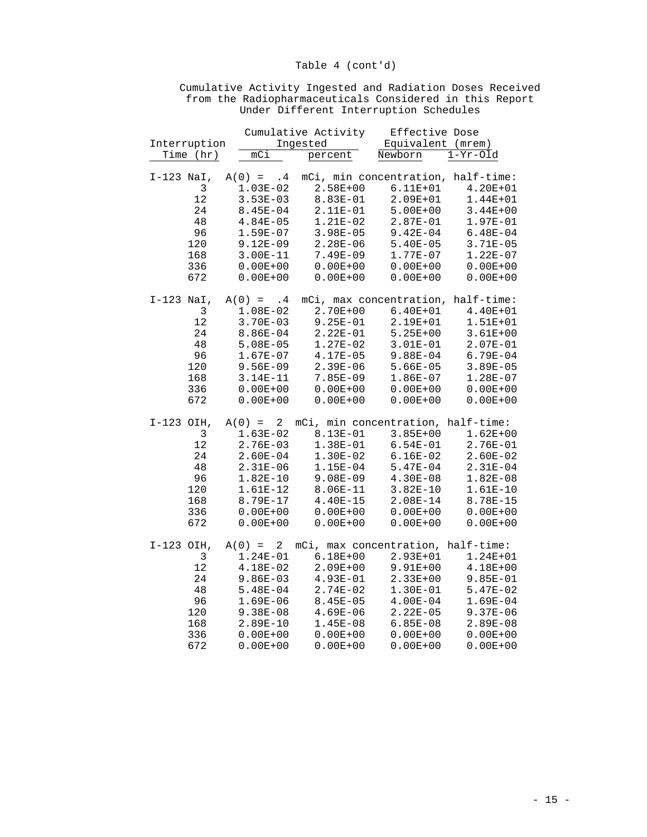|              |             | Cumulative Activity |  |                   |  |         |              | Effective Dose                     |
|--------------|-------------|---------------------|--|-------------------|--|---------|--------------|------------------------------------|
| Interruption |             | Ingested            |  | Equivalent (mrem) |  |         |              |                                    |
|              | Time (hr)   | mCi                 |  | percent           |  | Newborn |              | $1-Yr-01d$                         |
|              |             |                     |  |                   |  |         |              |                                    |
| $I-123$ NaI, |             | $A(0) = .4$         |  |                   |  |         |              | mCi, min concentration, half-time: |
|              | 3           | $1.03E-02$          |  | $2.58E + 00$      |  |         | $6.11E + 01$ | $4.20E + 01$                       |
|              | 12          | $3.53E-03$          |  | 8.83E-01          |  |         | 2.09E+01     | $1.44E + 01$                       |
|              | 24          | $8.45E - 04$        |  | $2.11E-01$        |  |         | $5.00E + 00$ | $3.44E + 00$                       |
|              | 48          | $4.84E - 05$        |  | $1.21E-02$        |  |         | $2.87E-01$   | 1.97E-01                           |
|              | 96          | $1.59E-07$          |  | $3.98E - 05$      |  |         | $9.42E - 04$ | $6.48E - 04$                       |
|              | 120         | $9.12E-09$          |  | $2.28E-06$        |  |         | $5.40E - 05$ | $3.71E-05$                         |
|              | 168         | $3.00E-11$          |  | $7.49E-09$        |  |         | 1.77E-07     | $1.22E-07$                         |
|              | 336         | $0.00E + 00$        |  | $0.00E + 00$      |  |         | $0.00E + 00$ | $0.00E + 00$                       |
|              | 672         | $0.00E + 00$        |  | $0.00E + 00$      |  |         | $0.00E + 00$ | $0.00E + 00$                       |
|              |             |                     |  |                   |  |         |              |                                    |
| $I-123$ NaI, |             | $A(0) = .4$         |  |                   |  |         |              | mCi, max concentration, half-time: |
|              | $\mathsf 3$ | $1.08E-02$          |  | $2.70E + 00$      |  |         | $6.40E + 01$ | $4.40E + 01$                       |
|              | 12          | $3.70E-03$          |  | $9.25E-01$        |  |         | 2.19E+01     | $1.51E + 01$                       |
|              | 24          | $8.86E - 04$        |  | $2.22E-01$        |  |         | $5.25E + 00$ | $3.61E + 00$                       |
|              | 48          | $5.08E - 05$        |  | $1.27E-02$        |  |         | $3.01E-01$   | $2.07E-01$                         |
|              | 96          | $1.67E-07$          |  | 4.17E-05          |  |         | $9.88E-04$   | $6.79E - 04$                       |
|              | 120         | $9.56E - 09$        |  | $2.39E-06$        |  |         | $5.66E-05$   | $3.89E - 05$                       |
|              | 168         | $3.14E-11$          |  | $7.85E-09$        |  |         | $1.86E-07$   | $1.28E-07$                         |
|              | 336         | $0.00E + 00$        |  | $0.00E + 00$      |  |         | $0.00E + 00$ | $0.00E + 00$                       |
|              | 672         | $0.00E + 00$        |  | $0.00E + 00$      |  |         | $0.00E + 00$ | $0.00E + 00$                       |
|              |             |                     |  |                   |  |         |              |                                    |
| I-123 OIH,   |             | $A(0) = 2$          |  |                   |  |         |              | mCi, min concentration, half-time: |
|              | 3           | $1.63E-02$          |  | 8.13E-01          |  |         | $3.85E + 00$ | $1.62E + 00$                       |
|              | 12          | $2.76E-03$          |  | 1.38E-01          |  |         | $6.54E-01$   | 2.76E-01                           |
|              | 24          | $2.60E-04$          |  | $1.30E-02$        |  |         | $6.16E-02$   | $2.60E-02$                         |
|              | 48          | $2.31E-06$          |  | $1.15E-04$        |  |         | $5.47E-04$   | $2.31E-04$                         |
|              | 96          | $1.82E-10$          |  | $9.08E - 09$      |  |         | $4.30E - 08$ | $1.82E-08$                         |
|              | 120         | 1.61E-12            |  | 8.06E-11          |  |         | $3.82E-10$   | $1.61E-10$                         |
|              | 168         | 8.79E-17            |  | $4.40E-15$        |  |         | $2.08E-14$   | 8.78E-15                           |
|              | 336         | $0.00E + 00$        |  | $0.00E + 00$      |  |         | $0.00E + 00$ | $0.00E + 00$                       |
|              | 672         | $0.00E + 00$        |  | $0.00E + 00$      |  |         | $0.00E + 00$ | $0.00E + 00$                       |
|              |             |                     |  |                   |  |         |              |                                    |
| $I-123$ OIH, |             | $A(0) = 2$          |  |                   |  |         |              | mCi, max concentration, half-time: |
|              | 3           | $1.24E-01$          |  | $6.18E + 00$      |  |         | 2.93E+01     | $1.24E + 01$                       |
|              | 12          | $4.18E-02$          |  | $2.09E + 00$      |  |         | $9.91E + 00$ | $4.18E + 00$                       |
|              | 24          | $9.86E - 03$        |  | $4.93E-01$        |  |         | $2.33E+00$   | $9.85E - 01$                       |
|              | 48          | $5.48E-04$          |  | $2.74E-02$        |  |         | $1.30E-01$   | $5.47E-02$                         |
|              | 96          | $1.69E-06$          |  | $8.45E - 05$      |  |         | $4.00E-04$   | $1.69E-04$                         |
|              | 120         | $9.38E - 08$        |  | $4.69E-06$        |  |         | $2.22E-05$   | $9.37E-06$                         |
|              | 168         | $2.89E-10$          |  | $1.45E-08$        |  |         | $6.85E-08$   | $2.89E-08$                         |
|              | 336         | $0.00E + 00$        |  | $0.00E + 00$      |  |         | $0.00E + 00$ | $0.00E + 00$                       |
|              |             |                     |  |                   |  |         |              |                                    |

672 0.00E+00 0.00E+00 0.00E+00 0.00E+00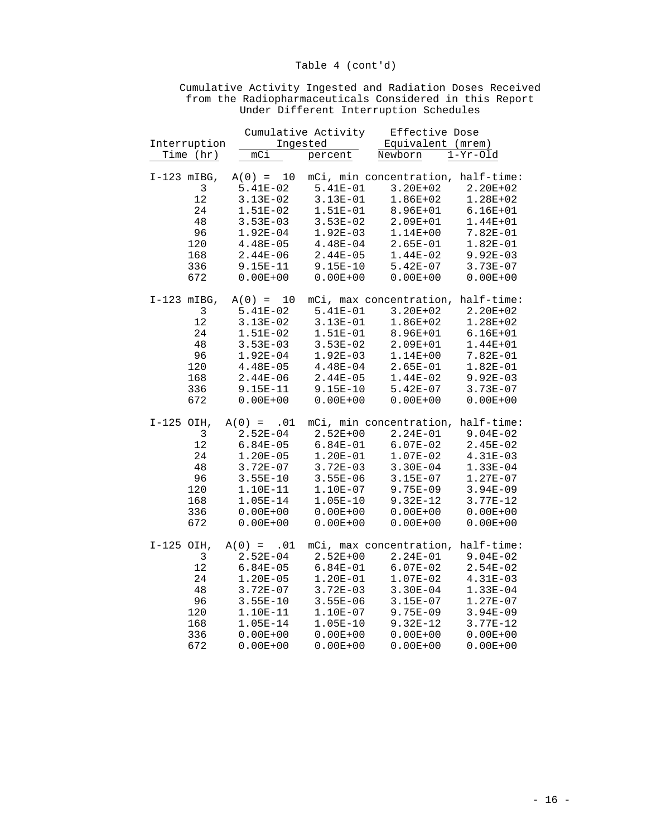|               |                                                           |                                                                                                                                                  | Cumulative Activity                                                                                                              | Effective Dose                                                                                                                                                         |                                                                                                                                      |
|---------------|-----------------------------------------------------------|--------------------------------------------------------------------------------------------------------------------------------------------------|----------------------------------------------------------------------------------------------------------------------------------|------------------------------------------------------------------------------------------------------------------------------------------------------------------------|--------------------------------------------------------------------------------------------------------------------------------------|
| Interruption  |                                                           | Ingested                                                                                                                                         |                                                                                                                                  | Equivalent (mrem)                                                                                                                                                      |                                                                                                                                      |
|               | Time (hr)                                                 | mC <sub>1</sub>                                                                                                                                  | percent                                                                                                                          | Newborn                                                                                                                                                                | $1-Yr-01d$                                                                                                                           |
| $I-123$ mIBG, | 3<br>12<br>24<br>48<br>96<br>120<br>168<br>336            | $A(0) = 10$<br>5.41E-02<br>$3.13E-02$<br>$1.51E-02$<br>$3.53E-03$<br>$1.92E-04$<br>$4.48E-05$<br>$2.44E-06$<br>$9.15E-11$                        | $5.41E-01$<br>$3.13E-01$<br>$1.51E-01$<br>$3.53E-02$<br>$1.92E-03$<br>$4.48E-04$<br>$2.44E-05$<br>$9.15E-10$                     | mCi, min concentration, half-time:<br>$3.20E + 02$<br>$1.86E + 02$<br>8.96E+01<br>$2.09E + 01$<br>$1.14E + 00$<br>$2.65E-01$<br>$1.44E-02$<br>$5.42E-07$               | $2.20E + 02$<br>$1.28E + 02$<br>$6.16E + 01$<br>$1.44E + 01$<br>7.82E-01<br>$1.82E-01$<br>$9.92E-03$<br>$3.73E-07$                   |
|               | 672                                                       | $0.00E + 00$                                                                                                                                     | $0.00E + 00$                                                                                                                     | $0.00E + 00$                                                                                                                                                           | $0.00E + 00$                                                                                                                         |
| $I-123$ mIBG, | 3<br>12<br>24<br>48<br>96<br>120<br>168<br>336<br>672     | $A(0) = 10$<br>$5.41E-02$<br>$3.13E-02$<br>$1.51E-02$<br>$3.53E-03$<br>$1.92E-04$<br>$4.48E-05$<br>$2.44E-06$<br>$9.15E-11$<br>$0.00E + 00$      | 5.41E-01<br>$3.13E-01$<br>$1.51E-01$<br>$3.53E-02$<br>$1.92E-03$<br>$4.48E-04$<br>$2.44E-05$<br>$9.15E-10$<br>$0.00E + 00$       | mCi, max concentration, half-time:<br>$3.20E + 02$<br>$1.86E + 02$<br>8.96E+01<br>2.09E+01<br>$1.14E + 00$<br>$2.65E-01$<br>$1.44E-02$<br>$5.42E-07$<br>$0.00E + 00$   | $2.20E + 02$<br>$1.28E + 02$<br>$6.16E + 01$<br>$1.44E + 01$<br>7.82E-01<br>$1.82E-01$<br>$9.92E - 03$<br>$3.73E-07$<br>$0.00E + 00$ |
| $I-125$ OIH,  | 3<br>12<br>24<br>$4\,8$<br>96<br>120<br>168<br>336<br>672 | $A(0) = .01$<br>$2.52E-04$<br>$6.84E - 05$<br>$1.20E-05$<br>$3.72E-07$<br>$3.55E-10$<br>$1.10E-11$<br>$1.05E-14$<br>$0.00E + 00$<br>$0.00E + 00$ | $2.52E + 00$<br>$6.84E-01$<br>$1.20E-01$<br>$3.72E-03$<br>$3.55E-06$<br>$1.10E-07$<br>$1.05E-10$<br>$0.00E + 00$<br>$0.00E + 00$ | mCi, min concentration, half-time:<br>$2.24E-01$<br>$6.07E-02$<br>$1.07E-02$<br>$3.30E - 04$<br>$3.15E-07$<br>$9.75E-09$<br>$9.32E-12$<br>$0.00E + 00$<br>$0.00E + 00$ | $9.04E-02$<br>$2.45E-02$<br>$4.31E-03$<br>$1.33E-04$<br>$1.27E-07$<br>$3.94E-09$<br>$3.77E-12$<br>$0.00E + 00$<br>$0.00E + 00$       |
| $I-125$ OIH,  | 3<br>12<br>24<br>48<br>96<br>120<br>168<br>336            | $A(0) = .01$<br>$2.52E-04$<br>$6.84E-05$<br>$1.20E-05$<br>$3.72E-07$<br>$3.55E-10$<br>1.10E-11<br>$1.05E-14$<br>$0.00E + 00$                     | $2.52E + 00$<br>$6.84E-01$<br>$1.20E-01$<br>$3.72E-03$<br>$3.55E-06$<br>$1.10E-07$<br>$1.05E-10$<br>$0.00E + 00$                 | mCi, max concentration, half-time:<br>$2.24E-01$<br>$6.07E-02$<br>$1.07E-02$<br>$3.30E - 04$<br>$3.15E-07$<br>9.75E-09<br>9.32E-12<br>$0.00E + 00$                     | $9.04E-02$<br>$2.54E-02$<br>$4.31E-03$<br>$1.33E-04$<br>$1.27E-07$<br>$3.94E-09$<br>$3.77E-12$<br>$0.00E + 00$                       |

672 0.00E+00 0.00E+00 0.00E+00 0.00E+00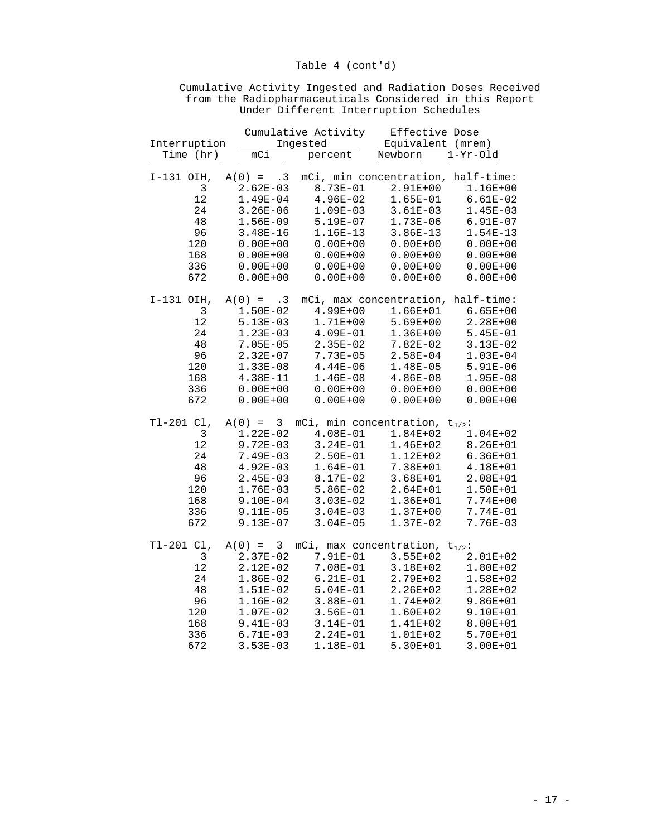|              |                            | Cumulative Activity | Effective Dose                      |                      |  |
|--------------|----------------------------|---------------------|-------------------------------------|----------------------|--|
| Interruption |                            | Ingested            |                                     | Equivalent<br>(mrem) |  |
| Time (hr)    | mCi                        | percent             | Newborn                             | $1-Yr-01d$           |  |
|              |                            |                     |                                     |                      |  |
| I-131 OIH,   | $A(0) = .3$                |                     | mCi, min concentration, half-time:  |                      |  |
| 3            | $2.62E-03$                 | 8.73E-01            | $2.91E + 00$                        | $1.16E + 00$         |  |
| 12           | $1.49E-04$                 | $4.96E-02$          | $1.65E-01$                          | $6.61E-02$           |  |
| 24           | $3.26E - 06$               | $1.09E-03$          | $3.61E-03$                          | $1.45E-03$           |  |
| 48           | $1.56E-09$                 | $5.19E-07$          | $1.73E-06$                          | $6.91E-07$           |  |
| 96           | $3.48E-16$                 | 1.16E-13            | $3.86E-13$                          | $1.54E-13$           |  |
| 120          | $0.00E + 00$               | $0.00E + 00$        | $0.00E + 00$                        | $0.00E + 00$         |  |
| 168          | $0.00E + 00$               | $0.00E + 00$        | $0.00E + 00$                        | $0.00E + 00$         |  |
| 336          | $0.00E + 00$               | $0.00E + 00$        | $0.00E + 00$                        | $0.00E + 00$         |  |
| 672          | $0.00E + 00$               | $0.00E + 00$        | $0.00E + 00$                        | $0.00E + 00$         |  |
| I-131 OIH,   | $A(0) = .3$                |                     | mCi, max concentration,             | half-time:           |  |
| 3            | $1.50E-02$                 | $4.99E + 00$        | $1.66E + 01$                        | $6.65E + 00$         |  |
| 12           | $5.13E-03$                 | $1.71E + 00$        | $5.69E + 00$                        | $2.28E + 00$         |  |
| 24           | $1.23E-03$                 | $4.09E-01$          | $1.36E + 00$                        | $5.45E-01$           |  |
| 48           | $7.05E - 05$               | $2.35E-02$          | $7.82E-02$                          | $3.13E-02$           |  |
| 96           | $2.32E-07$                 | 7.73E-05            | $2.58E-04$                          | $1.03E-04$           |  |
| 120          | $1.33E-08$                 | $4.44E-06$          | $1.48E-05$                          | $5.91E-06$           |  |
| 168          | 4.38E-11                   | $1.46E-08$          | $4.86E-08$                          | $1.95E-08$           |  |
| 336          | $0.00E + 00$               | $0.00E + 00$        | $0.00E + 00$                        | $0.00E + 00$         |  |
| 672          | $0.00E + 00$               | $0.00E + 00$        | $0.00E + 00$                        | $0.00E + 00$         |  |
| T1-201 Cl,   | 3<br>$A(0) =$              |                     | mCi, min concentration, $t_{1/2}$ : |                      |  |
| 3            | $1.22E-02$                 | $4.08E-01$          | $1.84E + 02$                        | $1.04E + 02$         |  |
| 12           | $9.72E - 03$               | $3.24E-01$          | $1.46E + 02$                        | $8.26E + 01$         |  |
| 24           | 7.49E-03                   | $2.50E-01$          | $1.12E + 02$                        | $6.36E + 01$         |  |
| 48           | $4.92E-03$                 | $1.64E-01$          | 7.38E+01                            | 4.18E+01             |  |
| 96           | $2.45E-03$                 | 8.17E-02            | $3.68E + 01$                        | 2.08E+01             |  |
| 120          | $1.76E-03$                 | $5.86E-02$          | $2.64E + 01$                        | $1.50E + 01$         |  |
| 168          | $9.10E-04$                 | $3.03E-02$          | $1.36E + 01$                        | $7.74E + 00$         |  |
| 336          | 9.11E-05                   | $3.04E - 03$        | $1.37E + 00$                        | 7.74E-01             |  |
| 672          | $9.13E-07$                 | $3.04E - 05$        | $1.37E-02$                          | $7.76E-03$           |  |
| T1-201 Cl,   | 3 <sup>7</sup><br>$A(0) =$ |                     | mCi, max concentration, $t_{1/2}$ : |                      |  |
| 3            | $2.37E-02$                 | 7.91E-01            | $3.55E + 02$                        | 2.01E+02             |  |
| $1\,2$       | $2.12E-02$                 | 7.08E-01            | $3.18E + 02$                        | $1.80E + 02$         |  |
| 24           | $1.86E-02$                 | $6.21E-01$          | 2.79E+02                            | 1.58E+02             |  |
| 48           | $1.51E-02$                 | $5.04E-01$          | $2.26E + 02$                        | 1.28E+02             |  |
| 96           | 1.16E-02                   | $3.88E-01$          | 1.74E+02                            | $9.86E + 01$         |  |
| 120          | $1.07E-02$                 | $3.56E-01$          | $1.60E + 02$                        | 9.10E+01             |  |
| 168          | $9.41E-03$                 | $3.14E-01$          | $1.41E+02$                          | 8.00E+01             |  |
| 336          | $6.71E-03$                 | $2.24E-01$          | $1.01E + 02$                        | 5.70E+01             |  |

672 3.53E-03 1.18E-01 5.30E+01 3.00E+01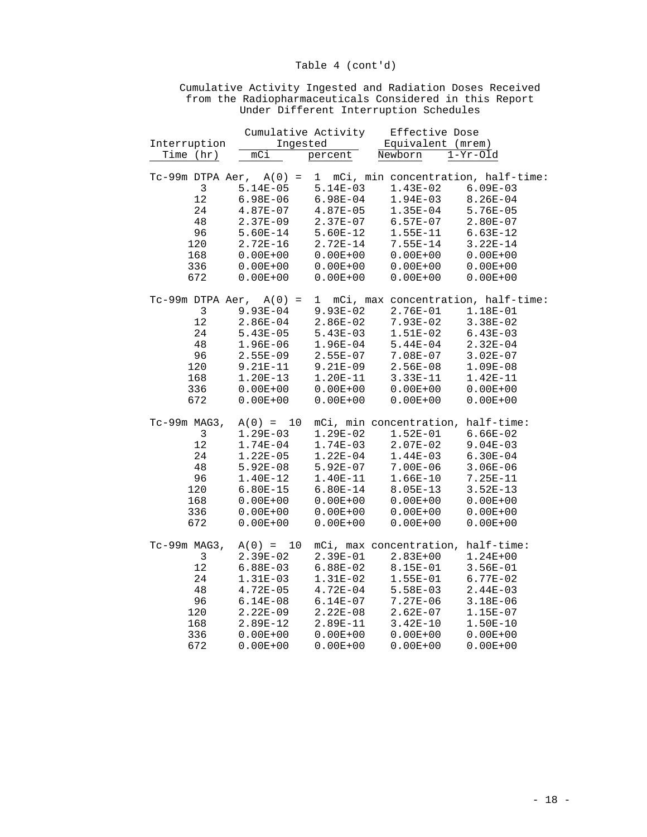|                | Cumulative Activity |                         | Effective Dose                     |                                                                  |
|----------------|---------------------|-------------------------|------------------------------------|------------------------------------------------------------------|
| Interruption   |                     | Ingested<br>and<br>Alba |                                    | Equivalent (mrem)                                                |
| Time (hr)      | mCi                 | percent                 | Newborn                            | $1-Yr-01d$                                                       |
|                |                     |                         |                                    |                                                                  |
|                |                     |                         |                                    | $Tc-99m$ DTPA Aer, $A(0) = 1$ mCi, min concentration, half-time: |
| 3              | $5.14E-05$          | $5.14E-03$              | $1.43E-02$                         | $6.09E-03$                                                       |
| $12$           | $6.98E-06$          | $6.98E-04$              | $1.94E-03$                         | $8.26E - 04$                                                     |
| 24             | $4.87E-07$          | $4.87E-05$              | $1.35E-04$                         | $5.76E - 05$                                                     |
| 48             | $2.37E-09$          | $2.37E-07$              | $6.57E-07$                         | $2.80E-07$                                                       |
| 96             | $5.60E-14$          | $5.60E-12$              | 1.55E-11                           | $6.63E-12$                                                       |
| 120            | $2.72E-16$          | $2.72E-14$              | $7.55E - 14$                       | $3.22E-14$                                                       |
| 168            | $0.00E + 00$        | $0.00E + 00$            | $0.00E + 00$                       | $0.00E + 00$                                                     |
| 336            | $0.00E + 00$        | $0.00E + 00$            | $0.00E + 00$                       | $0.00E + 00$                                                     |
| 672            | $0.00E + 00$        | $0.00E + 00$            | $0.00E + 00$                       | $0.00E + 00$                                                     |
|                |                     |                         |                                    |                                                                  |
|                |                     |                         |                                    | $Tc-99m$ DTPA Aer, $A(0) = 1$ mCi, max concentration, half-time: |
| $\mathfrak{Z}$ | $9.93E - 04$        | $9.93E-02$              | $2.76E-01$                         | 1.18E-01                                                         |
| 12             | $2.86E-04$          | $2.86E-02$              | $7.93E-02$                         | $3.38E-02$                                                       |
| 24             | $5.43E-05$          | $5.43E-03$              | $1.51E-02$                         | $6.43E-03$                                                       |
| 48             | $1.96E-06$          | $1.96E-04$              | $5.44E-04$                         | $2.32E-04$                                                       |
| 96             | $2.55E-09$          | $2.55E-07$              | $7.08E - 07$                       | $3.02E-07$                                                       |
| 120            | 9.21E-11            | $9.21E-09$              | $2.56E-08$                         | $1.09E-08$                                                       |
| 168            | $1.20E-13$          | 1.20E-11                | 3.33E-11                           | $1.42E-11$                                                       |
| 336            | $0.00E + 00$        | $0.00E + 00$            | $0.00E + 00$                       | $0.00E + 00$                                                     |
| 672            | $0.00E + 00$        | $0.00E + 00$            | $0.00E + 00$                       | $0.00E + 00$                                                     |
|                |                     |                         |                                    |                                                                  |
| Tc-99m MAG3,   | $A(0) = 10$         |                         | mCi, min concentration, half-time: |                                                                  |
| $\mathfrak{Z}$ | $1.29E-03$          | $1.29E-02$              | $1.52E-01$                         | $6.66E-02$                                                       |
| 12             | $1.74E-04$          | $1.74E-03$              | $2.07E-02$                         | $9.04E - 03$                                                     |
| 24             | $1.22E-05$          | $1.22E-04$              | $1.44E-03$                         | $6.30E - 04$                                                     |
| 48             | $5.92E-08$          | $5.92E-07$              | $7.00E-06$                         | $3.06E - 06$                                                     |
| 96             | $1.40E-12$          | 1.40E-11                | $1.66E-10$                         | $7.25E - 11$                                                     |
| 120            | $6.80E-15$          | $6.80E-14$              | 8.05E-13                           | $3.52E-13$                                                       |
| 168            | $0.00E + 00$        | $0.00E + 00$            | $0.00E + 00$                       | $0.00E + 00$                                                     |
| 336            | $0.00E + 00$        | $0.00E + 00$            | $0.00E + 00$                       | $0.00E + 00$                                                     |
| 672            | $0.00E + 00$        | $0.00E + 00$            | $0.00E + 00$                       | $0.00E + 00$                                                     |
|                |                     |                         |                                    |                                                                  |
| Tc-99m MAG3,   | $A(0) = 10$         |                         | mCi, max concentration, half-time: |                                                                  |
| 3              | $2.39E-02$          | 2.39E-01                | $2.83E + 00$                       | $1.24E + 00$                                                     |
| 12             | $6.88E-03$          | $6.88E-02$              | $8.15E-01$                         | $3.56E-01$                                                       |
| 24             | $1.31E-03$          | $1.31E-02$              | $1.55E-01$                         | $6.77E-02$                                                       |
| 48             | $4.72E-05$          | $4.72E-04$              | $5.58E-03$                         | $2.44E-03$                                                       |
| 96             | $6.14E-08$          | $6.14E-07$              | $7.27E-06$                         | $3.18E-06$                                                       |
| 120            | $2.22E-09$          | $2.22E-08$              | $2.62E-07$                         | $1.15E-07$                                                       |
| 168            | $2.89E-12$          | 2.89E-11                | $3.42E-10$                         | $1.50E-10$                                                       |
| 336            | $0.00E + 00$        | $0.00E + 00$            | $0.00E + 00$                       | $0.00E + 00$                                                     |
|                |                     |                         |                                    |                                                                  |

672 0.00E+00 0.00E+00 0.00E+00 0.00E+00